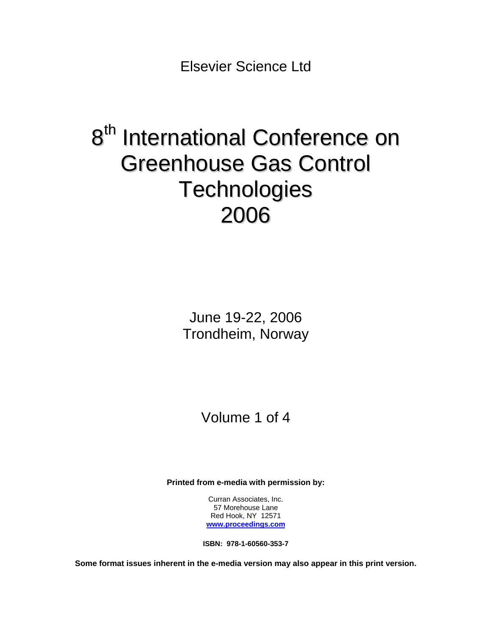Elsevier Science Ltd

# 8<sup>th</sup> International Conference on Greenhouse Gas Control **Technologies** 2006

June 19-22, 2006 Trondheim, Norway

Volume 1 of 4

**Printed from e-media with permission by:** 

Curran Associates, Inc. 57 Morehouse Lane Red Hook, NY 12571 **[www.proceedings.com](http://www.proceedings.com/)**

**ISBN: 978-1-60560-353-7** 

**Some format issues inherent in the e-media version may also appear in this print version.**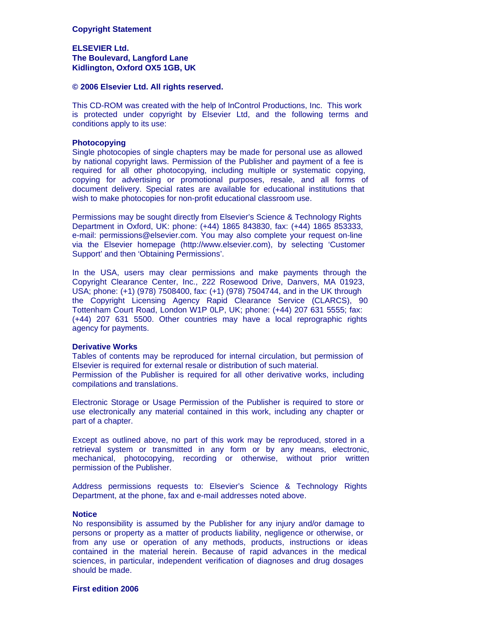#### **Copyright Statement**

#### **ELSEVIER Ltd. The Boulevard, Langford Lane Kidlington, Oxford OX5 1GB, UK**

#### **© 2006 Elsevier Ltd. All rights reserved.**

This CD-ROM was created with the help of InControl Productions, Inc. This work is protected under copyright by Elsevier Ltd, and the following terms and conditions apply to its use:

#### **Photocopying**

Single photocopies of single chapters may be made for personal use as allowed by national copyright laws. Permission of the Publisher and payment of a fee is required for all other photocopying, including multiple or systematic copying, copying for advertising or promotional purposes, resale, and all forms of document delivery. Special rates are available for educational institutions that wish to make photocopies for non-profit educational classroom use.

Permissions may be sought directly from Elsevier's Science & Technology Rights Department in Oxford, UK: phone: (+44) 1865 843830, fax: (+44) 1865 853333, e-mail: permissions@elsevier.com. You may also complete your request on-line via the Elsevier homepage (http://www.elsevier.com), by selecting 'Customer Support' and then 'Obtaining Permissions'.

In the USA, users may clear permissions and make payments through the Copyright Clearance Center, Inc., 222 Rosewood Drive, Danvers, MA 01923, USA; phone: (+1) (978) 7508400, fax: (+1) (978) 7504744, and in the UK through the Copyright Licensing Agency Rapid Clearance Service (CLARCS), 90 Tottenham Court Road, London W1P 0LP, UK; phone: (+44) 207 631 5555; fax: (+44) 207 631 5500. Other countries may have a local reprographic rights agency for payments.

#### **Derivative Works**

Tables of contents may be reproduced for internal circulation, but permission of Elsevier is required for external resale or distribution of such material. Permission of the Publisher is required for all other derivative works, including compilations and translations.

Electronic Storage or Usage Permission of the Publisher is required to store or use electronically any material contained in this work, including any chapter or part of a chapter.

Except as outlined above, no part of this work may be reproduced, stored in a retrieval system or transmitted in any form or by any means, electronic, mechanical, photocopying, recording or otherwise, without prior written permission of the Publisher.

Address permissions requests to: Elsevier's Science & Technology Rights Department, at the phone, fax and e-mail addresses noted above.

#### **Notice**

No responsibility is assumed by the Publisher for any injury and/or damage to persons or property as a matter of products liability, negligence or otherwise, or from any use or operation of any methods, products, instructions or ideas contained in the material herein. Because of rapid advances in the medical sciences, in particular, independent verification of diagnoses and drug dosages should be made.

#### **First edition 2006**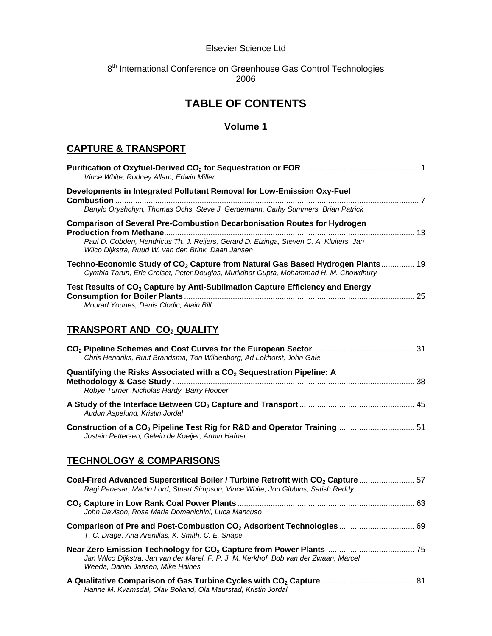#### Elsevier Science Ltd

## 8<sup>th</sup> International Conference on Greenhouse Gas Control Technologies 2006

# **TABLE OF CONTENTS**

### **Volume 1**

## **CAPTURE & TRANSPORT**

| Vince White, Rodney Allam, Edwin Miller                                                                                                                                                                                          |  |
|----------------------------------------------------------------------------------------------------------------------------------------------------------------------------------------------------------------------------------|--|
| Developments in Integrated Pollutant Removal for Low-Emission Oxy-Fuel<br>Danylo Oryshchyn, Thomas Ochs, Steve J. Gerdemann, Cathy Summers, Brian Patrick                                                                        |  |
| <b>Comparison of Several Pre-Combustion Decarbonisation Routes for Hydrogen</b><br>Paul D. Cobden, Hendricus Th. J. Reijers, Gerard D. Elzinga, Steven C. A. Kluiters, Jan<br>Wilco Dijkstra, Ruud W. van den Brink, Daan Jansen |  |
| Techno-Economic Study of CO <sub>2</sub> Capture from Natural Gas Based Hydrogen Plants 19<br>Cynthia Tarun, Eric Croiset, Peter Douglas, Murlidhar Gupta, Mohammad H. M. Chowdhury                                              |  |
| Test Results of CO <sub>2</sub> Capture by Anti-Sublimation Capture Efficiency and Energy<br>Mourad Younes, Denis Clodic, Alain Bill                                                                                             |  |
| <b>TRANSPORT AND CO2 QUALITY</b>                                                                                                                                                                                                 |  |
| Chris Hendriks, Ruut Brandsma, Ton Wildenborg, Ad Lokhorst, John Gale                                                                                                                                                            |  |
| Quantifying the Risks Associated with a CO <sub>2</sub> Sequestration Pipeline: A                                                                                                                                                |  |

| Robye Turner, Nicholas Hardy, Barry Hooper                                           |  |
|--------------------------------------------------------------------------------------|--|
| Audun Aspelund, Kristin Jordal                                                       |  |
| Construction of a CO <sub>2</sub> Pipeline Test Rig for R&D and Operator Training 51 |  |

## **TECHNOLOGY & COMPARISONS**

*Jostein Pettersen, Gelein de Koeijer, Armin Hafner* 

*Hanne M. Kvamsdal, Olav Bolland, Ola Maurstad, Kristin Jordal* 

| Coal-Fired Advanced Supercritical Boiler / Turbine Retrofit with CO <sub>2</sub> Capture  57<br>Ragi Panesar, Martin Lord, Stuart Simpson, Vince White, Jon Gibbins, Satish Reddy |  |
|-----------------------------------------------------------------------------------------------------------------------------------------------------------------------------------|--|
| John Davison, Rosa Maria Domenichini, Luca Mancuso                                                                                                                                |  |
| T. C. Drage, Ana Arenillas, K. Smith, C. E. Snape                                                                                                                                 |  |
| Jan Wilco Dijkstra, Jan van der Marel, F. P. J. M. Kerkhof, Bob van der Zwaan, Marcel<br>Weeda, Daniel Jansen, Mike Haines                                                        |  |
|                                                                                                                                                                                   |  |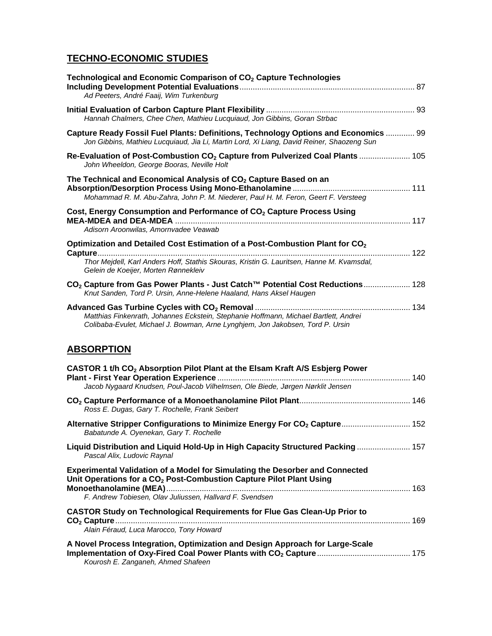# **TECHNO-ECONOMIC STUDIES**

| Technological and Economic Comparison of CO <sub>2</sub> Capture Technologies<br>Ad Peeters, André Faaij, Wim Turkenburg                                                                                                      |  |
|-------------------------------------------------------------------------------------------------------------------------------------------------------------------------------------------------------------------------------|--|
| Hannah Chalmers, Chee Chen, Mathieu Lucquiaud, Jon Gibbins, Goran Strbac                                                                                                                                                      |  |
| Capture Ready Fossil Fuel Plants: Definitions, Technology Options and Economics  99<br>Jon Gibbins, Mathieu Lucquiaud, Jia Li, Martin Lord, Xi Liang, David Reiner, Shaozeng Sun                                              |  |
| Re-Evaluation of Post-Combustion CO <sub>2</sub> Capture from Pulverized Coal Plants  105<br>John Wheeldon, George Booras, Neville Holt                                                                                       |  |
| The Technical and Economical Analysis of CO <sub>2</sub> Capture Based on an<br>Mohammad R. M. Abu-Zahra, John P. M. Niederer, Paul H. M. Feron, Geert F. Versteeg                                                            |  |
| Cost, Energy Consumption and Performance of CO <sub>2</sub> Capture Process Using<br>Adisorn Aroonwilas, Amornvadee Veawab                                                                                                    |  |
| Optimization and Detailed Cost Estimation of a Post-Combustion Plant for CO <sub>2</sub><br>Thor Mejdell, Karl Anders Hoff, Stathis Skouras, Kristin G. Lauritsen, Hanne M. Kvamsdal,<br>Gelein de Koeijer, Morten Rønnekleiv |  |
| CO <sub>2</sub> Capture from Gas Power Plants - Just Catch™ Potential Cost Reductions 128<br>Knut Sanden, Tord P. Ursin, Anne-Helene Haaland, Hans Aksel Haugen                                                               |  |
| Matthias Finkenrath, Johannes Eckstein, Stephanie Hoffmann, Michael Bartlett, Andrei<br>Colibaba-Evulet, Michael J. Bowman, Arne Lynghjem, Jon Jakobsen, Tord P. Ursin                                                        |  |
| <b>ABSORPTION</b>                                                                                                                                                                                                             |  |

| CASTOR 1 t/h CO <sub>2</sub> Absorption Pilot Plant at the Elsam Kraft A/S Esbjerg Power<br>Jacob Nygaard Knudsen, Poul-Jacob Vilhelmsen, Ole Biede, Jørgen Nørklit Jensen                                                         |  |
|------------------------------------------------------------------------------------------------------------------------------------------------------------------------------------------------------------------------------------|--|
| Ross E. Dugas, Gary T. Rochelle, Frank Seibert                                                                                                                                                                                     |  |
| Babatunde A. Oyenekan, Gary T. Rochelle                                                                                                                                                                                            |  |
| Liquid Distribution and Liquid Hold-Up in High Capacity Structured Packing 157<br>Pascal Alix, Ludovic Raynal                                                                                                                      |  |
| <b>Experimental Validation of a Model for Simulating the Desorber and Connected</b><br>Unit Operations for a CO <sub>2</sub> Post-Combustion Capture Pilot Plant Using<br>F. Andrew Tobiesen, Olav Juliussen, Hallvard F. Svendsen |  |
| <b>CASTOR Study on Technological Requirements for Flue Gas Clean-Up Prior to</b><br>Alain Féraud, Luca Marocco, Tony Howard                                                                                                        |  |
| A Novel Process Integration, Optimization and Design Approach for Large-Scale                                                                                                                                                      |  |

*Kourosh E. Zanganeh, Ahmed Shafeen*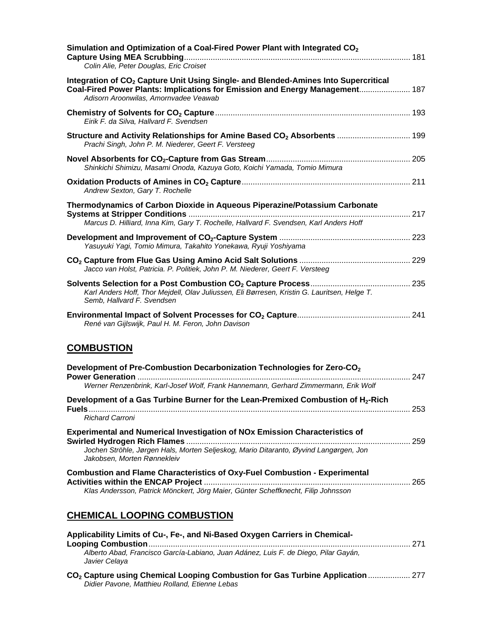| Simulation and Optimization of a Coal-Fired Power Plant with Integrated CO <sub>2</sub>                                                                                                                                  |     |
|--------------------------------------------------------------------------------------------------------------------------------------------------------------------------------------------------------------------------|-----|
| Colin Alie, Peter Douglas, Eric Croiset                                                                                                                                                                                  |     |
| Integration of CO <sub>2</sub> Capture Unit Using Single- and Blended-Amines Into Supercritical<br>Coal-Fired Power Plants: Implications for Emission and Energy Management 187<br>Adisorn Aroonwilas, Amornyadee Veawab |     |
| Eirik F. da Silva, Hallvard F. Svendsen                                                                                                                                                                                  |     |
| Structure and Activity Relationships for Amine Based CO <sub>2</sub> Absorbents  199<br>Prachi Singh, John P. M. Niederer, Geert F. Versteeg                                                                             |     |
| Shinkichi Shimizu, Masami Onoda, Kazuya Goto, Koichi Yamada, Tomio Mimura                                                                                                                                                |     |
| Andrew Sexton, Gary T. Rochelle                                                                                                                                                                                          |     |
| Thermodynamics of Carbon Dioxide in Aqueous Piperazine/Potassium Carbonate<br>Marcus D. Hilliard, Inna Kim, Gary T. Rochelle, Hallvard F. Svendsen, Karl Anders Hoff                                                     |     |
| Yasuyuki Yagi, Tomio Mimura, Takahito Yonekawa, Ryuji Yoshiyama                                                                                                                                                          |     |
| Jacco van Holst, Patricia. P. Politiek, John P. M. Niederer, Geert F. Versteeg                                                                                                                                           |     |
| Karl Anders Hoff, Thor Mejdell, Olav Juliussen, Eli Børresen, Kristin G. Lauritsen, Helge T.<br>Semb, Hallvard F. Svendsen                                                                                               |     |
| René van Gijlswijk, Paul H. M. Feron, John Davison                                                                                                                                                                       |     |
| <b>COMBUSTION</b>                                                                                                                                                                                                        |     |
| Development of Pre-Combustion Decarbonization Technologies for Zero-CO <sub>2</sub><br>Werner Renzenbrink, Karl-Josef Wolf, Frank Hannemann, Gerhard Zimmermann, Erik Wolf                                               |     |
| Development of a Gas Turbine Burner for the Lean-Premixed Combustion of H <sub>2</sub> -Rich<br><b>Richard Carroni</b>                                                                                                   | 253 |
| <b>Experimental and Numerical Investigation of NOx Emission Characteristics of</b><br>Jochen Ströhle, Jørgen Hals, Morten Seljeskog, Mario Ditaranto, Øyvind Langørgen, Jon<br>Jakobsen, Morten Rønnekleiv               |     |
| <b>Combustion and Flame Characteristics of Oxy-Fuel Combustion - Experimental</b>                                                                                                                                        |     |

**Activities within the ENCAP Project** ............................................................................................. 265 *Klas Andersson, Patrick Mönckert, Jörg Maier, Günter Scheffknecht, Filip Johnsson* 

# **CHEMICAL LOOPING COMBUSTION**

| Applicability Limits of Cu-, Fe-, and Ni-Based Oxygen Carriers in Chemical-                                                                  | - 271 |
|----------------------------------------------------------------------------------------------------------------------------------------------|-------|
| Alberto Abad, Francisco García-Labiano, Juan Adánez, Luis F. de Diego, Pilar Gayán,<br>Javier Celava                                         |       |
| CO <sub>2</sub> Capture using Chemical Looping Combustion for Gas Turbine Application  277<br>Didier Pavone, Matthieu Rolland, Etienne Lebas |       |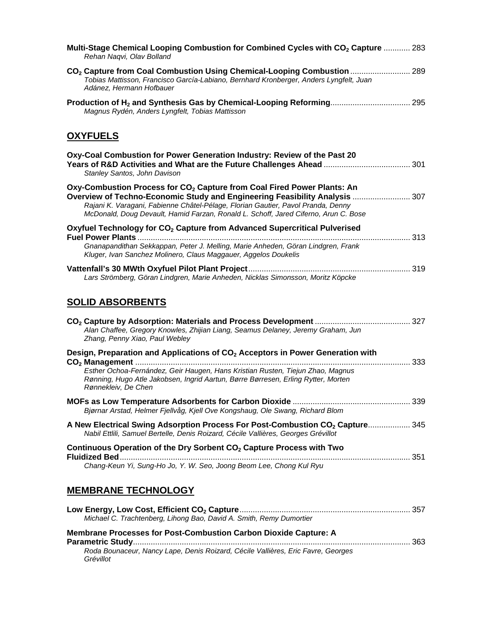| Multi-Stage Chemical Looping Combustion for Combined Cycles with CO <sub>2</sub> Capture  283<br>Rehan Nagvi, Olav Bolland                                                                                                                                                                                                                    |  |
|-----------------------------------------------------------------------------------------------------------------------------------------------------------------------------------------------------------------------------------------------------------------------------------------------------------------------------------------------|--|
| CO <sub>2</sub> Capture from Coal Combustion Using Chemical-Looping Combustion  289<br>Tobias Mattisson, Francisco García-Labiano, Bernhard Kronberger, Anders Lyngfelt, Juan<br>Adánez, Hermann Hofbauer                                                                                                                                     |  |
| Production of H <sub>2</sub> and Synthesis Gas by Chemical-Looping Reforming 295<br>Magnus Rydén, Anders Lyngfelt, Tobias Mattisson                                                                                                                                                                                                           |  |
| <b>OXYFUELS</b>                                                                                                                                                                                                                                                                                                                               |  |
| Oxy-Coal Combustion for Power Generation Industry: Review of the Past 20<br>Stanley Santos, John Davison                                                                                                                                                                                                                                      |  |
| Oxy-Combustion Process for CO <sub>2</sub> Capture from Coal Fired Power Plants: An<br>Overview of Techno-Economic Study and Engineering Feasibility Analysis  307<br>Rajani K. Varagani, Fabienne Châtel-Pélage, Florian Gautier, Pavol Pranda, Denny<br>McDonald, Doug Devault, Hamid Farzan, Ronald L. Schoff, Jared Ciferno, Arun C. Bose |  |
| Oxyfuel Technology for CO <sub>2</sub> Capture from Advanced Supercritical Pulverised                                                                                                                                                                                                                                                         |  |
| Gnanapandithan Sekkappan, Peter J. Melling, Marie Anheden, Göran Lindgren, Frank<br>Kluger, Ivan Sanchez Molinero, Claus Maggauer, Aggelos Doukelis                                                                                                                                                                                           |  |
| Lars Strömberg, Göran Lindgren, Marie Anheden, Nicklas Simonsson, Moritz Köpcke                                                                                                                                                                                                                                                               |  |
| <b>SOLID ABSORBENTS</b>                                                                                                                                                                                                                                                                                                                       |  |
| Alan Chaffee, Gregory Knowles, Zhijian Liang, Seamus Delaney, Jeremy Graham, Jun<br>Zhang, Penny Xiao, Paul Webley                                                                                                                                                                                                                            |  |
| Design, Preparation and Applications of CO <sub>2</sub> Acceptors in Power Generation with                                                                                                                                                                                                                                                    |  |
| Esther Ochoa-Fernández, Geir Haugen, Hans Kristian Rusten, Tiejun Zhao, Magnus<br>Rønning, Hugo Atle Jakobsen, Ingrid Aartun, Børre Børresen, Erling Rytter, Morten<br>Rønnekleiv, De Chen                                                                                                                                                    |  |
|                                                                                                                                                                                                                                                                                                                                               |  |
| Bjørnar Arstad, Helmer Fjellvåg, Kjell Ove Kongshaug, Ole Swang, Richard Blom                                                                                                                                                                                                                                                                 |  |
| A New Electrical Swing Adsorption Process For Post-Combustion CO <sub>2</sub> Capture 345<br>Nabil Ettlili, Samuel Bertelle, Denis Roizard, Cécile Vallières, Georges Grévillot                                                                                                                                                               |  |
| Continuous Operation of the Dry Sorbent CO <sub>2</sub> Capture Process with Two                                                                                                                                                                                                                                                              |  |
| Chang-Keun Yi, Sung-Ho Jo, Y. W. Seo, Joong Beom Lee, Chong Kul Ryu                                                                                                                                                                                                                                                                           |  |
| <b>MEMBRANE TECHNOLOGY</b>                                                                                                                                                                                                                                                                                                                    |  |
| Michael C. Trachtenberg, Lihong Bao, David A. Smith, Remy Dumortier                                                                                                                                                                                                                                                                           |  |
| <b>Membrane Processes for Post-Combustion Carbon Dioxide Capture: A</b>                                                                                                                                                                                                                                                                       |  |
| Roda Bounaceur, Nancy Lape, Denis Roizard, Cécile Vallières, Eric Favre, Georges<br>Grévillot                                                                                                                                                                                                                                                 |  |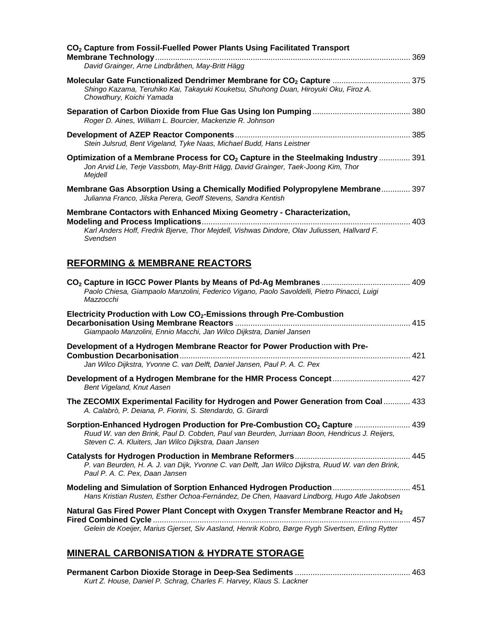| CO <sub>2</sub> Capture from Fossil-Fuelled Power Plants Using Facilitated Transport<br>David Grainger, Arne Lindbråthen, May-Britt Hägg                                                                                                         |  |
|--------------------------------------------------------------------------------------------------------------------------------------------------------------------------------------------------------------------------------------------------|--|
| Molecular Gate Functionalized Dendrimer Membrane for CO <sub>2</sub> Capture  375<br>Shingo Kazama, Teruhiko Kai, Takayuki Kouketsu, Shuhong Duan, Hiroyuki Oku, Firoz A.<br>Chowdhury, Koichi Yamada                                            |  |
| Roger D. Aines, William L. Bourcier, Mackenzie R. Johnson                                                                                                                                                                                        |  |
| Stein Julsrud, Bent Vigeland, Tyke Naas, Michael Budd, Hans Leistner                                                                                                                                                                             |  |
| Optimization of a Membrane Process for $CO2$ Capture in the Steelmaking Industry  391<br>Jon Arvid Lie, Terje Vassbotn, May-Britt Hägg, David Grainger, Taek-Joong Kim, Thor<br>Mejdell                                                          |  |
| Membrane Gas Absorption Using a Chemically Modified Polypropylene Membrane 397<br>Julianna Franco, Jilska Perera, Geoff Stevens, Sandra Kentish                                                                                                  |  |
| Membrane Contactors with Enhanced Mixing Geometry - Characterization,<br>Karl Anders Hoff, Fredrik Bjerve, Thor Mejdell, Vishwas Dindore, Olav Juliussen, Hallvard F.<br>Svendsen                                                                |  |
| <b>REFORMING &amp; MEMBRANE REACTORS</b>                                                                                                                                                                                                         |  |
| Paolo Chiesa, Giampaolo Manzolini, Federico Vigano, Paolo Savoldelli, Pietro Pinacci, Luigi<br>Mazzocchi                                                                                                                                         |  |
|                                                                                                                                                                                                                                                  |  |
| Electricity Production with Low CO <sub>2</sub> -Emissions through Pre-Combustion<br>Giampaolo Manzolini, Ennio Macchi, Jan Wilco Dijkstra, Daniel Jansen                                                                                        |  |
| Development of a Hydrogen Membrane Reactor for Power Production with Pre-                                                                                                                                                                        |  |
| Jan Wilco Dijkstra, Yvonne C. van Delft, Daniel Jansen, Paul P. A. C. Pex<br>Development of a Hydrogen Membrane for the HMR Process Concept 427<br>Bent Vigeland, Knut Aasen                                                                     |  |
| The ZECOMIX Experimental Facility for Hydrogen and Power Generation from Coal 433<br>A. Calabrò, P. Deiana, P. Fiorini, S. Stendardo, G. Girardi                                                                                                 |  |
| Sorption-Enhanced Hydrogen Production for Pre-Combustion CO <sub>2</sub> Capture  439<br>Ruud W. van den Brink, Paul D. Cobden, Paul van Beurden, Jurriaan Boon, Hendricus J. Reijers,<br>Steven C. A. Kluiters, Jan Wilco Dijkstra, Daan Jansen |  |
| P. van Beurden, H. A. J. van Dijk, Yvonne C. van Delft, Jan Wilco Dijkstra, Ruud W. van den Brink,<br>Paul P. A. C. Pex, Daan Jansen                                                                                                             |  |
| Modeling and Simulation of Sorption Enhanced Hydrogen Production 451<br>Hans Kristian Rusten, Esther Ochoa-Fernández, De Chen, Haavard Lindborg, Hugo Atle Jakobsen                                                                              |  |
| Natural Gas Fired Power Plant Concept with Oxygen Transfer Membrane Reactor and $H_2$<br>Gelein de Koeijer, Marius Gjerset, Siv Aasland, Henrik Kobro, Børge Rygh Sivertsen, Erling Rytter                                                       |  |

| Kurt Z. House, Daniel P. Schrag, Charles F. Harvey, Klaus S. Lackner |  |
|----------------------------------------------------------------------|--|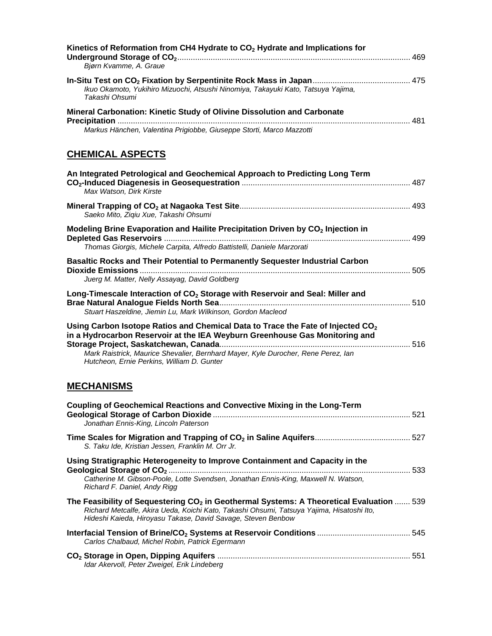| Kinetics of Reformation from CH4 Hydrate to CO <sub>2</sub> Hydrate and Implications for<br>Bjørn Kvamme, A. Graue                                                                                                                                                                                            |  |
|---------------------------------------------------------------------------------------------------------------------------------------------------------------------------------------------------------------------------------------------------------------------------------------------------------------|--|
| Ikuo Okamoto, Yukihiro Mizuochi, Atsushi Ninomiya, Takayuki Kato, Tatsuya Yajima,<br>Takashi Ohsumi                                                                                                                                                                                                           |  |
| Mineral Carbonation: Kinetic Study of Olivine Dissolution and Carbonate<br>Markus Hänchen, Valentina Prigiobbe, Giuseppe Storti, Marco Mazzotti                                                                                                                                                               |  |
| <b>CHEMICAL ASPECTS</b>                                                                                                                                                                                                                                                                                       |  |
| An Integrated Petrological and Geochemical Approach to Predicting Long Term<br>Max Watson, Dirk Kirste                                                                                                                                                                                                        |  |
| Saeko Mito, Ziqiu Xue, Takashi Ohsumi                                                                                                                                                                                                                                                                         |  |
| Modeling Brine Evaporation and Hailite Precipitation Driven by CO <sub>2</sub> Injection in                                                                                                                                                                                                                   |  |
| Thomas Giorgis, Michele Carpita, Alfredo Battistelli, Daniele Marzorati                                                                                                                                                                                                                                       |  |
| Basaltic Rocks and Their Potential to Permanently Sequester Industrial Carbon<br>Juerg M. Matter, Nelly Assayag, David Goldberg                                                                                                                                                                               |  |
| Long-Timescale Interaction of CO <sub>2</sub> Storage with Reservoir and Seal: Miller and<br>Stuart Haszeldine, Jiemin Lu, Mark Wilkinson, Gordon Macleod                                                                                                                                                     |  |
| Using Carbon Isotope Ratios and Chemical Data to Trace the Fate of Injected CO <sub>2</sub><br>in a Hydrocarbon Reservoir at the IEA Weyburn Greenhouse Gas Monitoring and<br>Mark Raistrick, Maurice Shevalier, Bernhard Mayer, Kyle Durocher, Rene Perez, lan<br>Hutcheon, Ernie Perkins, William D. Gunter |  |
| <b>MECHANISMS</b>                                                                                                                                                                                                                                                                                             |  |
| <b>Coupling of Geochemical Reactions and Convective Mixing in the Long-Term</b><br>Jonathan Ennis-King, Lincoln Paterson                                                                                                                                                                                      |  |
| S. Taku Ide, Kristian Jessen, Franklin M. Orr Jr.                                                                                                                                                                                                                                                             |  |
| Using Stratigraphic Heterogeneity to Improve Containment and Capacity in the<br>Catherine M. Gibson-Poole, Lotte Svendsen, Jonathan Ennis-King, Maxwell N. Watson,<br>Richard F. Daniel, Andy Rigg                                                                                                            |  |
| The Feasibility of Sequestering CO <sub>2</sub> in Geothermal Systems: A Theoretical Evaluation  539<br>Richard Metcalfe, Akira Ueda, Koichi Kato, Takashi Ohsumi, Tatsuya Yajima, Hisatoshi Ito,<br>Hideshi Kaieda, Hiroyasu Takase, David Savage, Steven Benbow                                             |  |
| Carlos Chalbaud, Michel Robin, Patrick Egermann                                                                                                                                                                                                                                                               |  |
| Idar Akervoll, Peter Zweigel, Erik Lindeberg                                                                                                                                                                                                                                                                  |  |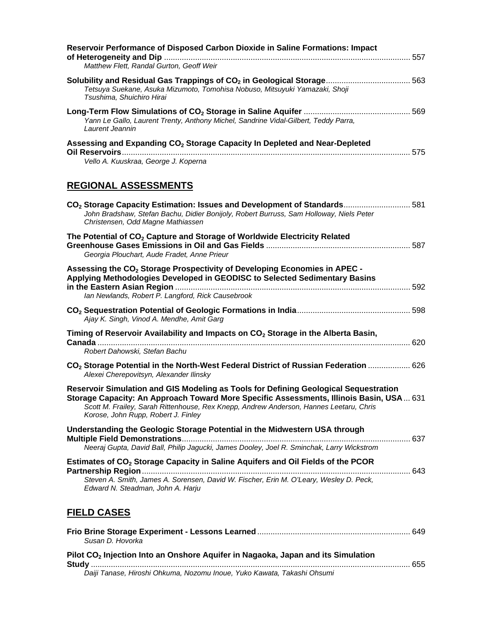| Reservoir Performance of Disposed Carbon Dioxide in Saline Formations: Impact<br>Matthew Flett, Randal Gurton, Geoff Weir                                                                                                                                                                                        |  |
|------------------------------------------------------------------------------------------------------------------------------------------------------------------------------------------------------------------------------------------------------------------------------------------------------------------|--|
|                                                                                                                                                                                                                                                                                                                  |  |
| Tetsuya Suekane, Asuka Mizumoto, Tomohisa Nobuso, Mitsuyuki Yamazaki, Shoji<br>Tsushima, Shuichiro Hirai                                                                                                                                                                                                         |  |
| Yann Le Gallo, Laurent Trenty, Anthony Michel, Sandrine Vidal-Gilbert, Teddy Parra,<br>Laurent Jeannin                                                                                                                                                                                                           |  |
| Assessing and Expanding CO <sub>2</sub> Storage Capacity In Depleted and Near-Depleted<br>Vello A. Kuuskraa, George J. Koperna                                                                                                                                                                                   |  |
| <b>REGIONAL ASSESSMENTS</b>                                                                                                                                                                                                                                                                                      |  |
| CO <sub>2</sub> Storage Capacity Estimation: Issues and Development of Standards 581                                                                                                                                                                                                                             |  |
| John Bradshaw, Stefan Bachu, Didier Bonijoly, Robert Burruss, Sam Holloway, Niels Peter<br>Christensen, Odd Magne Mathiassen                                                                                                                                                                                     |  |
| The Potential of CO <sub>2</sub> Capture and Storage of Worldwide Electricity Related<br>Georgia Plouchart, Aude Fradet, Anne Prieur                                                                                                                                                                             |  |
| Assessing the CO <sub>2</sub> Storage Prospectivity of Developing Economies in APEC -                                                                                                                                                                                                                            |  |
| Applying Methodologies Developed in GEODISC to Selected Sedimentary Basins<br>Ian Newlands, Robert P. Langford, Rick Causebrook                                                                                                                                                                                  |  |
| Ajay K. Singh, Vinod A. Mendhe, Amit Garg                                                                                                                                                                                                                                                                        |  |
| Timing of Reservoir Availability and Impacts on CO <sub>2</sub> Storage in the Alberta Basin,<br>Robert Dahowski, Stefan Bachu                                                                                                                                                                                   |  |
| CO <sub>2</sub> Storage Potential in the North-West Federal District of Russian Federation  626<br>Alexei Cherepovitsyn, Alexander Ilinsky                                                                                                                                                                       |  |
| Reservoir Simulation and GIS Modeling as Tools for Defining Geological Sequestration<br>Storage Capacity: An Approach Toward More Specific Assessments, Illinois Basin, USA 631<br>Scott M. Frailey, Sarah Rittenhouse, Rex Knepp, Andrew Anderson, Hannes Leetaru, Chris<br>Korose, John Rupp, Robert J. Finley |  |
| Understanding the Geologic Storage Potential in the Midwestern USA through<br>Neeraj Gupta, David Ball, Philip Jagucki, James Dooley, Joel R. Sminchak, Larry Wickstrom                                                                                                                                          |  |
| Estimates of CO <sub>2</sub> Storage Capacity in Saline Aquifers and Oil Fields of the PCOR                                                                                                                                                                                                                      |  |
| Steven A. Smith, James A. Sorensen, David W. Fischer, Erin M. O'Leary, Wesley D. Peck,                                                                                                                                                                                                                           |  |
| Edward N. Steadman, John A. Harju                                                                                                                                                                                                                                                                                |  |
| <b>FIELD CASES</b>                                                                                                                                                                                                                                                                                               |  |
| Susan D. Hovorka                                                                                                                                                                                                                                                                                                 |  |
| insting late on Onehous Aquifonia November, Jones and its Cinculation                                                                                                                                                                                                                                            |  |

**Pilot CO2 Injection Into an Onshore Aquifer in Nagaoka, Japan and its Simulation Study** ................................................................................................................................................ 655 *Daiji Tanase, Hiroshi Ohkuma, Nozomu Inoue, Yuko Kawata, Takashi Ohsumi*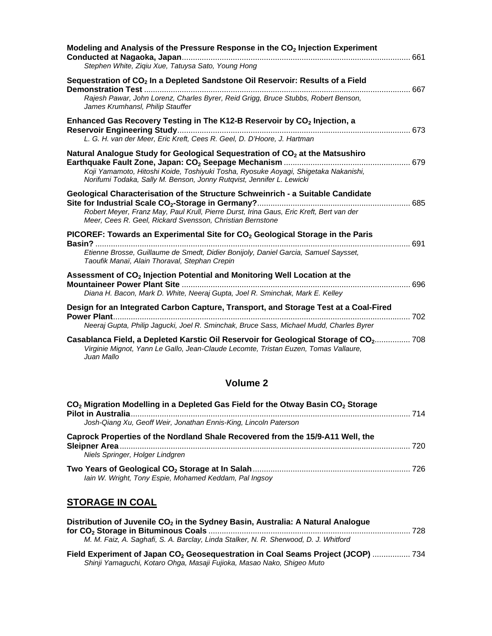| Modeling and Analysis of the Pressure Response in the CO <sub>2</sub> Injection Experiment                                                                                                |     |
|-------------------------------------------------------------------------------------------------------------------------------------------------------------------------------------------|-----|
| Stephen White, Zigiu Xue, Tatuysa Sato, Young Hong                                                                                                                                        |     |
| Sequestration of CO <sub>2</sub> In a Depleted Sandstone Oil Reservoir: Results of a Field                                                                                                | 667 |
| Rajesh Pawar, John Lorenz, Charles Byrer, Reid Grigg, Bruce Stubbs, Robert Benson,<br>James Krumhansl, Philip Stauffer                                                                    |     |
| Enhanced Gas Recovery Testing in The K12-B Reservoir by CO <sub>2</sub> Injection, a                                                                                                      | 673 |
| L. G. H. van der Meer, Eric Kreft, Cees R. Geel, D. D'Hoore, J. Hartman                                                                                                                   |     |
| Natural Analogue Study for Geological Sequestration of CO <sub>2</sub> at the Matsushiro                                                                                                  |     |
| Koji Yamamoto, Hitoshi Koide, Toshiyuki Tosha, Ryosuke Aoyagi, Shigetaka Nakanishi,<br>Norifumi Todaka, Sally M. Benson, Jonny Rutqvist, Jennifer L. Lewicki                              |     |
| Geological Characterisation of the Structure Schweinrich - a Suitable Candidate                                                                                                           |     |
| Robert Meyer, Franz May, Paul Krull, Pierre Durst, Irina Gaus, Eric Kreft, Bert van der<br>Meer, Cees R. Geel, Rickard Svensson, Christian Bernstone                                      |     |
| PICOREF: Towards an Experimental Site for CO <sub>2</sub> Geological Storage in the Paris                                                                                                 | 691 |
| Etienne Brosse, Guillaume de Smedt, Didier Bonijoly, Daniel Garcia, Samuel Saysset,<br>Taoufik Manaï, Alain Thoraval, Stephan Crepin                                                      |     |
| Assessment of CO <sub>2</sub> Injection Potential and Monitoring Well Location at the                                                                                                     |     |
| Diana H. Bacon, Mark D. White, Neeraj Gupta, Joel R. Sminchak, Mark E. Kelley                                                                                                             |     |
| Design for an Integrated Carbon Capture, Transport, and Storage Test at a Coal-Fired                                                                                                      |     |
| Neeraj Gupta, Philip Jagucki, Joel R. Sminchak, Bruce Sass, Michael Mudd, Charles Byrer                                                                                                   |     |
| Casablanca Field, a Depleted Karstic Oil Reservoir for Geological Storage of CO2 708<br>Virginie Mignot, Yann Le Gallo, Jean-Claude Lecomte, Tristan Euzen, Tomas Vallaure,<br>Juan Mallo |     |

# **Volume 2**

| CO <sub>2</sub> Migration Modelling in a Depleted Gas Field for the Otway Basin CO <sub>2</sub> Storage | 714 |
|---------------------------------------------------------------------------------------------------------|-----|
| Josh-Qiang Xu, Geoff Weir, Jonathan Ennis-King, Lincoln Paterson                                        |     |
| Caprock Properties of the Nordland Shale Recovered from the 15/9-A11 Well, the                          | 720 |
| Niels Springer, Holger Lindgren                                                                         |     |
| lain W. Wright, Tony Espie, Mohamed Keddam, Pal Ingsoy                                                  |     |

# **STORAGE IN COAL**

| Distribution of Juvenile CO <sub>2</sub> in the Sydney Basin, Australia: A Natural Analogue  |  |
|----------------------------------------------------------------------------------------------|--|
|                                                                                              |  |
| M. M. Faiz, A. Saghafi, S. A. Barclay, Linda Stalker, N. R. Sherwood, D. J. Whitford         |  |
| Field Experiment of Japan CO <sub>2</sub> Geosequestration in Coal Seams Project (JCOP)  734 |  |

*Shinji Yamaguchi, Kotaro Ohga, Masaji Fujioka, Masao Nako, Shigeo Muto*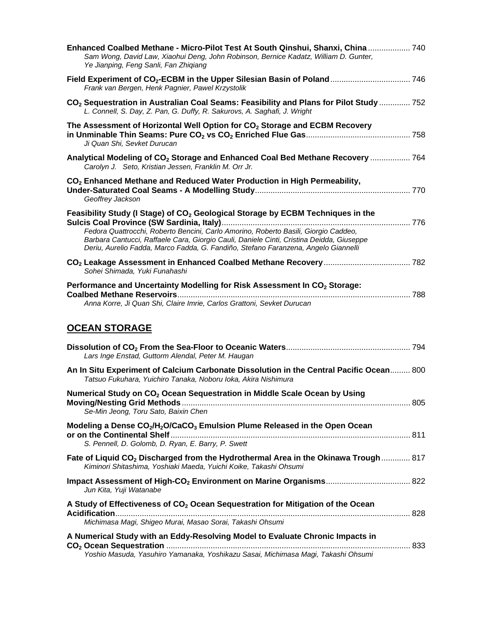| Enhanced Coalbed Methane - Micro-Pilot Test At South Qinshui, Shanxi, China  740<br>Sam Wong, David Law, Xiaohui Deng, John Robinson, Bernice Kadatz, William D. Gunter,<br>Ye Jianping, Feng Sanli, Fan Zhiqiang                                                                                                                                                    |  |
|----------------------------------------------------------------------------------------------------------------------------------------------------------------------------------------------------------------------------------------------------------------------------------------------------------------------------------------------------------------------|--|
| Frank van Bergen, Henk Pagnier, Pawel Krzystolik                                                                                                                                                                                                                                                                                                                     |  |
| CO <sub>2</sub> Sequestration in Australian Coal Seams: Feasibility and Plans for Pilot Study  752<br>L. Connell, S. Day, Z. Pan, G. Duffy, R. Sakurovs, A. Saghafi, J. Wright                                                                                                                                                                                       |  |
| The Assessment of Horizontal Well Option for $CO2$ Storage and ECBM Recovery<br>Ji Quan Shi, Sevket Durucan                                                                                                                                                                                                                                                          |  |
| Analytical Modeling of CO <sub>2</sub> Storage and Enhanced Coal Bed Methane Recovery  764<br>Carolyn J. Seto, Kristian Jessen, Franklin M. Orr Jr.                                                                                                                                                                                                                  |  |
| CO <sub>2</sub> Enhanced Methane and Reduced Water Production in High Permeability,<br>Geoffrey Jackson                                                                                                                                                                                                                                                              |  |
| Feasibility Study (I Stage) of CO <sub>2</sub> Geological Storage by ECBM Techniques in the<br>Fedora Quattrocchi, Roberto Bencini, Carlo Amorino, Roberto Basili, Giorgio Caddeo,<br>Barbara Cantucci, Raffaele Cara, Giorgio Cauli, Daniele Cinti, Cristina Deidda, Giuseppe<br>Deriu, Aurelio Fadda, Marco Fadda, G. Fandiño, Stefano Faranzena, Angelo Giannelli |  |
| Sohei Shimada, Yuki Funahashi                                                                                                                                                                                                                                                                                                                                        |  |
| Performance and Uncertainty Modelling for Risk Assessment In CO <sub>2</sub> Storage:<br>Anna Korre, Ji Quan Shi, Claire Imrie, Carlos Grattoni, Sevket Durucan<br><b>OCEAN STORAGE</b>                                                                                                                                                                              |  |
| Lars Inge Enstad, Guttorm Alendal, Peter M. Haugan                                                                                                                                                                                                                                                                                                                   |  |
| An In Situ Experiment of Calcium Carbonate Dissolution in the Central Pacific Ocean 800<br>Tatsuo Fukuhara, Yuichiro Tanaka, Noboru loka, Akira Nishimura                                                                                                                                                                                                            |  |
| Numerical Study on CO <sub>2</sub> Ocean Sequestration in Middle Scale Ocean by Using<br>Se-Min Jeong, Toru Sato, Baixin Chen                                                                                                                                                                                                                                        |  |
| Modeling a Dense CO <sub>2</sub> /H <sub>2</sub> O/CaCO <sub>3</sub> Emulsion Plume Released in the Open Ocean<br>S. Pennell, D. Golomb, D. Ryan, E. Barry, P. Swett                                                                                                                                                                                                 |  |
| Fate of Liquid CO <sub>2</sub> Discharged from the Hydrothermal Area in the Okinawa Trough  817<br>Kiminori Shitashima, Yoshiaki Maeda, Yuichi Koike, Takashi Ohsumi                                                                                                                                                                                                 |  |
| Jun Kita, Yuji Watanabe                                                                                                                                                                                                                                                                                                                                              |  |
| A Study of Effectiveness of CO <sub>2</sub> Ocean Sequestration for Mitigation of the Ocean<br>Michimasa Magi, Shigeo Murai, Masao Sorai, Takashi Ohsumi                                                                                                                                                                                                             |  |
| A Numerical Study with an Eddy-Resolving Model to Evaluate Chronic Impacts in<br>Yoshio Masuda, Yasuhiro Yamanaka, Yoshikazu Sasai, Michimasa Magi, Takashi Ohsumi                                                                                                                                                                                                   |  |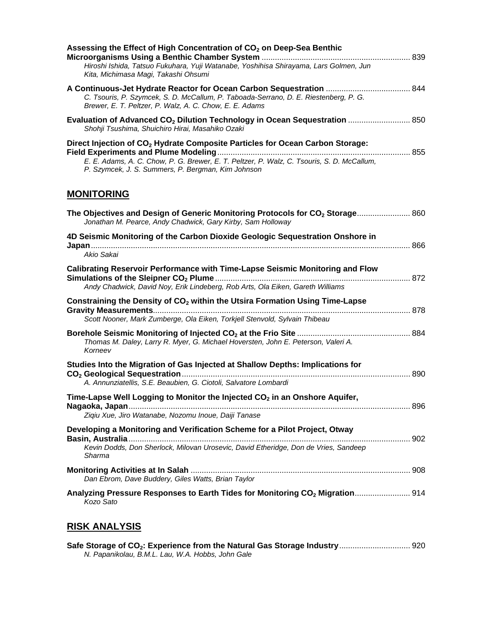| Assessing the Effect of High Concentration of CO <sub>2</sub> on Deep-Sea Benthic<br>Hiroshi Ishida, Tatsuo Fukuhara, Yuji Watanabe, Yoshihisa Shirayama, Lars Golmen, Jun<br>Kita, Michimasa Magi, Takashi Ohsumi                            |  |
|-----------------------------------------------------------------------------------------------------------------------------------------------------------------------------------------------------------------------------------------------|--|
| C. Tsouris, P. Szymcek, S. D. McCallum, P. Taboada-Serrano, D. E. Riestenberg, P. G.<br>Brewer, E. T. Peltzer, P. Walz, A. C. Chow, E. E. Adams                                                                                               |  |
| Evaluation of Advanced CO <sub>2</sub> Dilution Technology in Ocean Sequestration  850<br>Shohji Tsushima, Shuichiro Hirai, Masahiko Ozaki                                                                                                    |  |
| Direct Injection of CO <sub>2</sub> Hydrate Composite Particles for Ocean Carbon Storage:<br>E. E. Adams, A. C. Chow, P. G. Brewer, E. T. Peltzer, P. Walz, C. Tsouris, S. D. McCallum,<br>P. Szymcek, J. S. Summers, P. Bergman, Kim Johnson |  |
| <b>MONITORING</b>                                                                                                                                                                                                                             |  |
| The Objectives and Design of Generic Monitoring Protocols for CO <sub>2</sub> Storage 860<br>Jonathan M. Pearce, Andy Chadwick, Gary Kirby, Sam Holloway                                                                                      |  |
| 4D Seismic Monitoring of the Carbon Dioxide Geologic Sequestration Onshore in<br>Akio Sakai                                                                                                                                                   |  |
| Calibrating Reservoir Performance with Time-Lapse Seismic Monitoring and Flow<br>Andy Chadwick, David Noy, Erik Lindeberg, Rob Arts, Ola Eiken, Gareth Williams                                                                               |  |
| Constraining the Density of CO <sub>2</sub> within the Utsira Formation Using Time-Lapse<br>Scott Nooner, Mark Zumberge, Ola Eiken, Torkjell Stenvold, Sylvain Thibeau                                                                        |  |
| Thomas M. Daley, Larry R. Myer, G. Michael Hoversten, John E. Peterson, Valeri A.<br>Korneev                                                                                                                                                  |  |
| Studies Into the Migration of Gas Injected at Shallow Depths: Implications for<br>A. Annunziatellis, S.E. Beaubien, G. Ciotoli, Salvatore Lombardi                                                                                            |  |
| Time-Lapse Well Logging to Monitor the Injected CO <sub>2</sub> in an Onshore Aquifer,<br>Ziqiu Xue, Jiro Watanabe, Nozomu Inoue, Daiji Tanase                                                                                                |  |
| Developing a Monitoring and Verification Scheme for a Pilot Project, Otway<br>Kevin Dodds, Don Sherlock, Milovan Urosevic, David Etheridge, Don de Vries, Sandeep<br>Sharma                                                                   |  |
| Dan Ebrom, Dave Buddery, Giles Watts, Brian Taylor                                                                                                                                                                                            |  |
| Analyzing Pressure Responses to Earth Tides for Monitoring CO <sub>2</sub> Migration 914<br>Kozo Sato                                                                                                                                         |  |

# **RISK ANALYSIS**

| Safe Storage of CO <sub>2</sub> : Experience from the Natural Gas Storage Industry 920 |  |
|----------------------------------------------------------------------------------------|--|
| N. Papanikolau, B.M.L. Lau, W.A. Hobbs, John Gale                                      |  |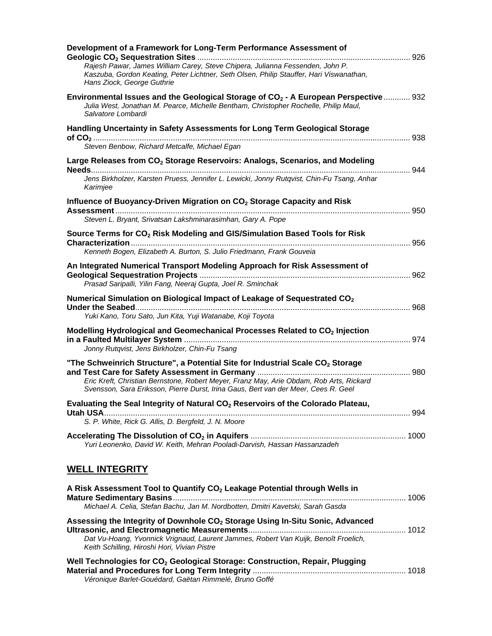| Development of a Framework for Long-Term Performance Assessment of                                                                                                                                            |     |
|---------------------------------------------------------------------------------------------------------------------------------------------------------------------------------------------------------------|-----|
| Rajesh Pawar, James William Carey, Steve Chipera, Julianna Fessenden, John P.<br>Kaszuba, Gordon Keating, Peter Lichtner, Seth Olsen, Philip Stauffer, Hari Viswanathan,<br>Hans Ziock, George Guthrie        |     |
| Environmental Issues and the Geological Storage of CO <sub>2</sub> - A European Perspective 932<br>Julia West, Jonathan M. Pearce, Michelle Bentham, Christopher Rochelle, Philip Maul,<br>Salvatore Lombardi |     |
| Handling Uncertainty in Safety Assessments for Long Term Geological Storage                                                                                                                                   | 938 |
| Steven Benbow, Richard Metcalfe, Michael Egan                                                                                                                                                                 |     |
| Large Releases from CO <sub>2</sub> Storage Reservoirs: Analogs, Scenarios, and Modeling                                                                                                                      |     |
| Jens Birkholzer, Karsten Pruess, Jennifer L. Lewicki, Jonny Rutqvist, Chin-Fu Tsang, Anhar<br>Karimjee                                                                                                        |     |
| Influence of Buoyancy-Driven Migration on CO <sub>2</sub> Storage Capacity and Risk                                                                                                                           |     |
| Steven L. Bryant, Srivatsan Lakshminarasimhan, Gary A. Pope                                                                                                                                                   |     |
| Source Terms for CO <sub>2</sub> Risk Modeling and GIS/Simulation Based Tools for Risk                                                                                                                        | 956 |
| Kenneth Bogen, Elizabeth A. Burton, S. Julio Friedmann, Frank Gouveia                                                                                                                                         |     |
| An Integrated Numerical Transport Modeling Approach for Risk Assessment of                                                                                                                                    |     |
| Prasad Saripalli, Yilin Fang, Neeraj Gupta, Joel R. Sminchak                                                                                                                                                  |     |
| Numerical Simulation on Biological Impact of Leakage of Sequestrated CO <sub>2</sub><br>Yuki Kano, Toru Sato, Jun Kita, Yuji Watanabe, Koji Toyota                                                            | 968 |
|                                                                                                                                                                                                               |     |
| Modelling Hydrological and Geomechanical Processes Related to CO <sub>2</sub> Injection<br>Jonny Rutqvist, Jens Birkholzer, Chin-Fu Tsang                                                                     | 974 |
| "The Schweinrich Structure", a Potential Site for Industrial Scale CO <sub>2</sub> Storage                                                                                                                    |     |
| Eric Kreft, Christian Bernstone, Robert Meyer, Franz May, Arie Obdam, Rob Arts, Rickard<br>Svensson, Sara Eriksson, Pierre Durst, Irina Gaus, Bert van der Meer, Cees R. Geel                                 |     |
| Evaluating the Seal Integrity of Natural CO <sub>2</sub> Reservoirs of the Colorado Plateau                                                                                                                   |     |
| S. P. White, Rick G. Allis, D. Bergfeld, J. N. Moore                                                                                                                                                          |     |
| Yuri Leonenko, David W. Keith, Mehran Pooladi-Darvish, Hassan Hassanzadeh                                                                                                                                     |     |
| <b>WELL INTEGRITY</b>                                                                                                                                                                                         |     |
| A Risk Assessment Tool to Quantify CO <sub>2</sub> Leakage Potential through Wells in                                                                                                                         |     |
| Michael A. Celia, Stefan Bachu, Jan M. Nordbotten, Dmitri Kavetski, Sarah Gasda                                                                                                                               |     |
| Assessing the Integrity of Downhole CO <sub>2</sub> Storage Using In-Situ Sonic, Advanced                                                                                                                     |     |
| Dat Vu-Hoang, Yvonnick Vrignaud, Laurent Jammes, Robert Van Kuijk, Benoît Froelich,<br>Keith Schilling, Hiroshi Hori, Vivian Pistre                                                                           |     |
| Well Technologies for CO <sub>2</sub> Geological Storage: Construction, Repair, Plugging<br>Véronique Barlet-Gouédard, Gaëtan Rimmelé, Bruno Goffé                                                            |     |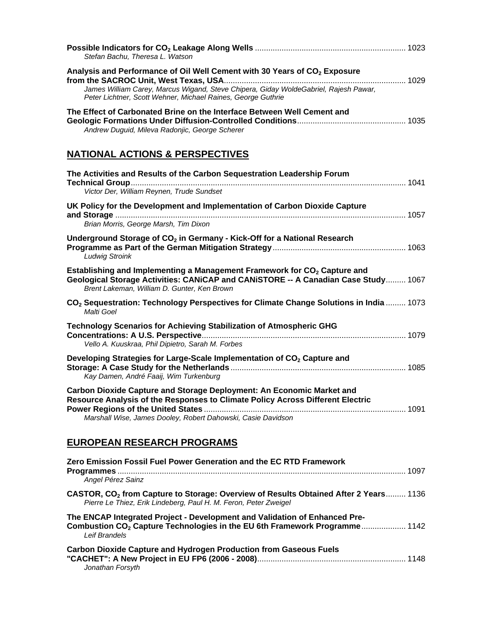| Stefan Bachu, Theresa L. Watson                                                                                                                                                                                                               |  |
|-----------------------------------------------------------------------------------------------------------------------------------------------------------------------------------------------------------------------------------------------|--|
| Analysis and Performance of Oil Well Cement with 30 Years of CO <sub>2</sub> Exposure<br>James William Carey, Marcus Wigand, Steve Chipera, Giday WoldeGabriel, Rajesh Pawar,<br>Peter Lichtner, Scott Wehner, Michael Raines, George Guthrie |  |
| The Effect of Carbonated Brine on the Interface Between Well Cement and<br>Andrew Duguid, Mileva Radonjic, George Scherer                                                                                                                     |  |
| <b>NATIONAL ACTIONS &amp; PERSPECTIVES</b>                                                                                                                                                                                                    |  |
| The Activities and Results of the Carbon Sequestration Leadership Forum<br>Victor Der, William Reynen, Trude Sundset                                                                                                                          |  |
| UK Policy for the Development and Implementation of Carbon Dioxide Capture<br>Brian Morris, George Marsh, Tim Dixon                                                                                                                           |  |
| Underground Storage of CO <sub>2</sub> in Germany - Kick-Off for a National Research<br><b>Ludwig Stroink</b>                                                                                                                                 |  |
| Establishing and Implementing a Management Framework for CO <sub>2</sub> Capture and<br>Geological Storage Activities: CANiCAP and CANISTORE -- A Canadian Case Study 1067<br>Brent Lakeman, William D. Gunter, Ken Brown                     |  |
| CO <sub>2</sub> Sequestration: Technology Perspectives for Climate Change Solutions in India  1073<br>Malti Goel                                                                                                                              |  |
| Technology Scenarios for Achieving Stabilization of Atmospheric GHG<br>Vello A. Kuuskraa, Phil Dipietro, Sarah M. Forbes                                                                                                                      |  |
| Developing Strategies for Large-Scale Implementation of CO <sub>2</sub> Capture and<br>Kay Damen, André Faaij, Wim Turkenburg                                                                                                                 |  |
| Carbon Dioxide Capture and Storage Deployment: An Economic Market and<br>Resource Analysis of the Responses to Climate Policy Across Different Electric<br>Marshall Wise, James Dooley, Robert Dahowski, Casie Davidson                       |  |
| <b>EUROPEAN RESEARCH PROGRAMS</b>                                                                                                                                                                                                             |  |
| Zero Emission Fossil Fuel Power Generation and the EC RTD Framework<br>Angel Pérez Sainz                                                                                                                                                      |  |

| Angel Pérez Sainz                                                                                                                                                                     |  |
|---------------------------------------------------------------------------------------------------------------------------------------------------------------------------------------|--|
| CASTOR, CO <sub>2</sub> from Capture to Storage: Overview of Results Obtained After 2 Years 1136<br>Pierre Le Thiez, Erik Lindeberg, Paul H. M. Feron, Peter Zweigel                  |  |
| The ENCAP Integrated Project - Development and Validation of Enhanced Pre-<br>Combustion CO <sub>2</sub> Capture Technologies in the EU 6th Framework Programme 1142<br>Leif Brandels |  |
| Asikan Blankle Asistine and Hindressen Busdiestlan from Associac Finds.                                                                                                               |  |

| <b>Carbon Dioxide Capture and Hydrogen Production from Gaseous Fuels</b> |  |
|--------------------------------------------------------------------------|--|
|                                                                          |  |
| Jonathan Forsyth                                                         |  |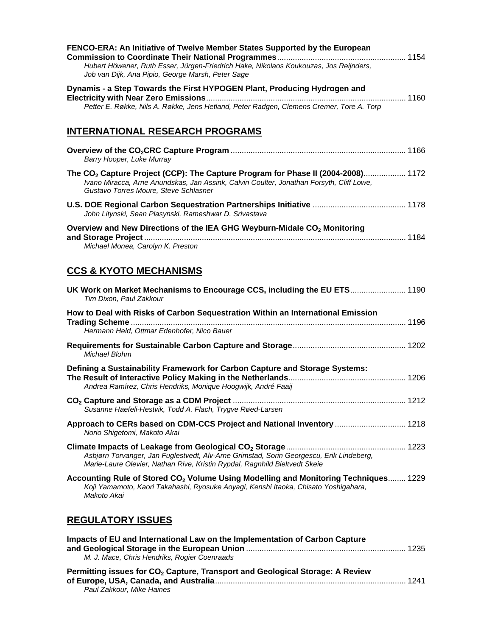| FENCO-ERA: An Initiative of Twelve Member States Supported by the European<br>Hubert Höwener, Ruth Esser, Jürgen-Friedrich Hake, Nikolaos Koukouzas, Jos Reijnders,<br>Job van Dijk, Ana Pipio, George Marsh, Peter Sage          |  |
|-----------------------------------------------------------------------------------------------------------------------------------------------------------------------------------------------------------------------------------|--|
| Dynamis - a Step Towards the First HYPOGEN Plant, Producing Hydrogen and<br>Petter E. Røkke, Nils A. Røkke, Jens Hetland, Peter Radgen, Clemens Cremer, Tore A. Torp                                                              |  |
| <b>INTERNATIONAL RESEARCH PROGRAMS</b>                                                                                                                                                                                            |  |
| Barry Hooper, Luke Murray                                                                                                                                                                                                         |  |
| The CO <sub>2</sub> Capture Project (CCP): The Capture Program for Phase II (2004-2008) 1172<br>Ivano Miracca, Arne Anundskas, Jan Assink, Calvin Coulter, Jonathan Forsyth, Cliff Lowe,<br>Gustavo Torres Moure, Steve Schlasner |  |
| John Litynski, Sean Plasynski, Rameshwar D. Srivastava                                                                                                                                                                            |  |
| Overview and New Directions of the IEA GHG Weyburn-Midale CO <sub>2</sub> Monitoring<br>Michael Monea, Carolyn K. Preston                                                                                                         |  |
| <b>CCS &amp; KYOTO MECHANISMS</b>                                                                                                                                                                                                 |  |
| UK Work on Market Mechanisms to Encourage CCS, including the EU ETS 1190<br>Tim Dixon, Paul Zakkour                                                                                                                               |  |
| How to Deal with Risks of Carbon Sequestration Within an International Emission<br>Hermann Held, Ottmar Edenhofer, Nico Bauer                                                                                                     |  |
| Michael Blohm                                                                                                                                                                                                                     |  |
| Defining a Sustainability Framework for Carbon Capture and Storage Systems:<br>Andrea Ramírez, Chris Hendriks, Monique Hoogwijk, André Faaij                                                                                      |  |

| Susanne Haefeli-Hestvik, Todd A. Flach, Trygve Røed-Larsen                                             |  |
|--------------------------------------------------------------------------------------------------------|--|
| Approach to CERs based on CDM-CCS Project and National Inventory  1218<br>Norio Shigetomi, Makoto Akai |  |

| Asbjørn Torvanger, Jan Fuglestvedt, Alv-Arne Grimstad, Sorin Georgescu, Erik Lindeberg, |  |
|-----------------------------------------------------------------------------------------|--|
| Marie-Laure Olevier, Nathan Rive, Kristin Rypdal, Ragnhild Bieltvedt Skeie              |  |

| Accounting Rule of Stored CO <sub>2</sub> Volume Using Modelling and Monitoring Techniques 1229 |  |
|-------------------------------------------------------------------------------------------------|--|
| Koji Yamamoto, Kaori Takahashi, Ryosuke Aoyagi, Kenshi Itaoka, Chisato Yoshigahara,             |  |
| Makoto Akai                                                                                     |  |

# **REGULATORY ISSUES**

| Impacts of EU and International Law on the Implementation of Carbon Capture<br>M. J. Mace, Chris Hendriks, Rogier Coenraads |  |
|-----------------------------------------------------------------------------------------------------------------------------|--|
| Permitting issues for CO <sub>2</sub> Capture, Transport and Geological Storage: A Review<br>Paul Zakkour, Mike Haines      |  |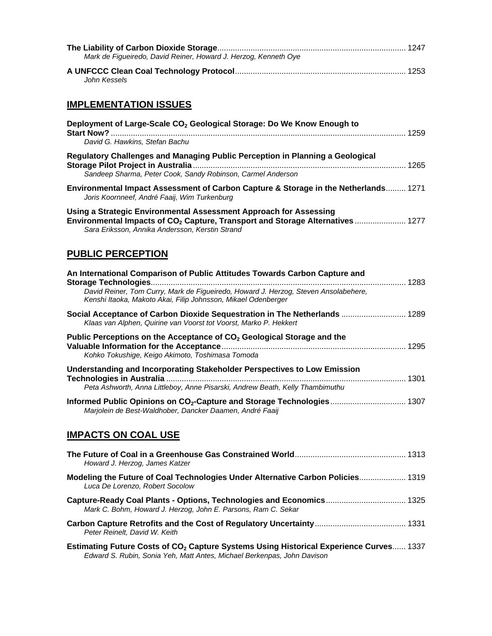| Mark de Figueiredo, David Reiner, Howard J. Herzog, Kenneth Oye                                                                                                                                                                    |
|------------------------------------------------------------------------------------------------------------------------------------------------------------------------------------------------------------------------------------|
| John Kessels                                                                                                                                                                                                                       |
| <b>IMPLEMENTATION ISSUES</b>                                                                                                                                                                                                       |
| Deployment of Large-Scale CO <sub>2</sub> Geological Storage: Do We Know Enough to<br>David G. Hawkins, Stefan Bachu                                                                                                               |
| Regulatory Challenges and Managing Public Perception in Planning a Geological<br>Sandeep Sharma, Peter Cook, Sandy Robinson, Carmel Anderson                                                                                       |
| Environmental Impact Assessment of Carbon Capture & Storage in the Netherlands 1271<br>Joris Koornneef, André Faaij, Wim Turkenburg                                                                                                |
| Using a Strategic Environmental Assessment Approach for Assessing<br>Environmental Impacts of CO <sub>2</sub> Capture, Transport and Storage Alternatives  1277<br>Sara Eriksson, Annika Andersson, Kerstin Strand                 |
| <b>PUBLIC PERCEPTION</b>                                                                                                                                                                                                           |
| An International Comparison of Public Attitudes Towards Carbon Capture and<br>David Reiner, Tom Curry, Mark de Figueiredo, Howard J. Herzog, Steven Ansolabehere,<br>Kenshi Itaoka, Makoto Akai, Filip Johnsson, Mikael Odenberger |
| Social Acceptance of Carbon Dioxide Sequestration in The Netherlands  1289<br>Klaas van Alphen, Quirine van Voorst tot Voorst, Marko P. Hekkert                                                                                    |
| Public Perceptions on the Acceptance of CO <sub>2</sub> Geological Storage and the<br>Kohko Tokushige, Keigo Akimoto, Toshimasa Tomoda                                                                                             |
| Understanding and Incorporating Stakeholder Perspectives to Low Emission<br>Peta Ashworth, Anna Littleboy, Anne Pisarski, Andrew Beath, Kelly Thambimuthu                                                                          |
| Informed Public Opinions on CO <sub>2</sub> -Capture and Storage Technologies 1307<br>Marjolein de Best-Waldhober, Dancker Daamen, André Faaij                                                                                     |
| <b>IMPACTS ON COAL USE</b>                                                                                                                                                                                                         |
| Howard J. Herzog, James Katzer                                                                                                                                                                                                     |
| Modeling the Future of Coal Technologies Under Alternative Carbon Policies 1319<br>Luca De Lorenzo, Robert Socolow                                                                                                                 |
| Capture-Ready Coal Plants - Options, Technologies and Economics 1325<br>Mark C. Bohm, Howard J. Herzog, John E. Parsons, Ram C. Sekar                                                                                              |
| Peter Reinelt, David W. Keith                                                                                                                                                                                                      |

**Estimating Future Costs of CO<sub>2</sub> Capture Systems Using Historical Experience Curves...... 1337** *Edward S. Rubin, Sonia Yeh, Matt Antes, Michael Berkenpas, John Davison*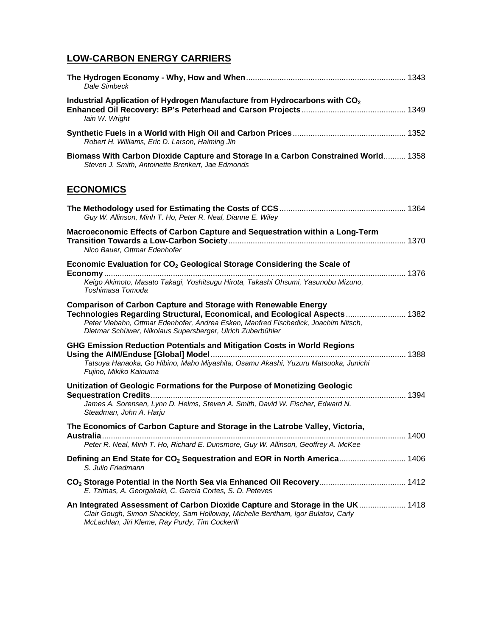# **LOW-CARBON ENERGY CARRIERS**

| Dale Simbeck                                                                                                                                                                                                                                                                                            |  |
|---------------------------------------------------------------------------------------------------------------------------------------------------------------------------------------------------------------------------------------------------------------------------------------------------------|--|
| Industrial Application of Hydrogen Manufacture from Hydrocarbons with CO <sub>2</sub><br>lain W. Wright                                                                                                                                                                                                 |  |
| Robert H. Williams, Eric D. Larson, Haiming Jin                                                                                                                                                                                                                                                         |  |
| Biomass With Carbon Dioxide Capture and Storage In a Carbon Constrained World 1358<br>Steven J. Smith, Antoinette Brenkert, Jae Edmonds                                                                                                                                                                 |  |
| <b>ECONOMICS</b>                                                                                                                                                                                                                                                                                        |  |
| Guy W. Allinson, Minh T. Ho, Peter R. Neal, Dianne E. Wiley                                                                                                                                                                                                                                             |  |
| Macroeconomic Effects of Carbon Capture and Sequestration within a Long-Term<br>Nico Bauer, Ottmar Edenhofer                                                                                                                                                                                            |  |
| Economic Evaluation for CO <sub>2</sub> Geological Storage Considering the Scale of<br>Keigo Akimoto, Masato Takagi, Yoshitsugu Hirota, Takashi Ohsumi, Yasunobu Mizuno,<br>Toshimasa Tomoda                                                                                                            |  |
| <b>Comparison of Carbon Capture and Storage with Renewable Energy</b><br>Technologies Regarding Structural, Economical, and Ecological Aspects 1382<br>Peter Viebahn, Ottmar Edenhofer, Andrea Esken, Manfred Fischedick, Joachim Nitsch,<br>Dietmar Schüwer, Nikolaus Supersberger, Ulrich Zuberbühler |  |
| GHG Emission Reduction Potentials and Mitigation Costs in World Regions<br>Tatsuya Hanaoka, Go Hibino, Maho Miyashita, Osamu Akashi, Yuzuru Matsuoka, Junichi<br>Fujino, Mikiko Kainuma                                                                                                                 |  |
| Unitization of Geologic Formations for the Purpose of Monetizing Geologic<br>James A. Sorensen, Lynn D. Helms, Steven A. Smith, David W. Fischer, Edward N.                                                                                                                                             |  |
| Steadman, John A. Harju<br>The Economics of Carbon Capture and Storage in the Latrobe Valley, Victoria,<br>Peter R. Neal, Minh T. Ho, Richard E. Dunsmore, Guy W. Allinson, Geoffrey A. McKee                                                                                                           |  |
| Defining an End State for CO <sub>2</sub> Sequestration and EOR in North America 1406<br>S. Julio Friedmann                                                                                                                                                                                             |  |
| E. Tzimas, A. Georgakaki, C. Garcia Cortes, S. D. Peteves                                                                                                                                                                                                                                               |  |
| An Integrated Assessment of Carbon Dioxide Capture and Storage in the UK 1418<br>Clair Gough, Simon Shackley, Sam Holloway, Michelle Bentham, Igor Bulatov, Carly<br>McLachlan, Jiri Kleme, Ray Purdy, Tim Cockerill                                                                                    |  |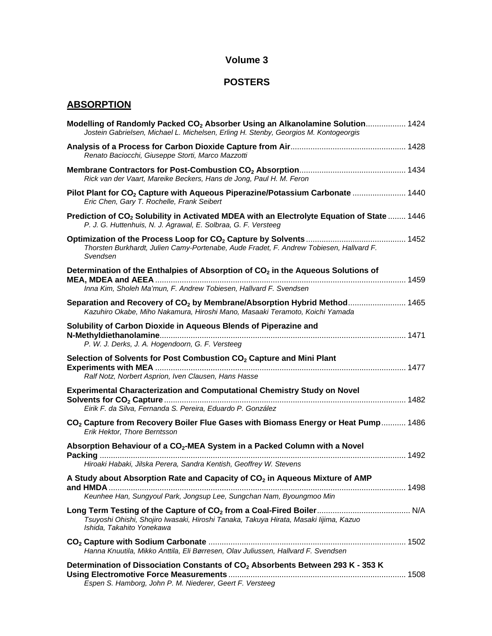## **Volume 3**

# **POSTERS**

## **ABSORPTION**

| Modelling of Randomly Packed CO <sub>2</sub> Absorber Using an Alkanolamine Solution 1424<br>Jostein Gabrielsen, Michael L. Michelsen, Erling H. Stenby, Georgios M. Kontogeorgis          |  |
|--------------------------------------------------------------------------------------------------------------------------------------------------------------------------------------------|--|
| Renato Baciocchi, Giuseppe Storti, Marco Mazzotti                                                                                                                                          |  |
| Rick van der Vaart, Mareike Beckers, Hans de Jong, Paul H. M. Feron                                                                                                                        |  |
| Pilot Plant for CO <sub>2</sub> Capture with Aqueous Piperazine/Potassium Carbonate  1440<br>Eric Chen, Gary T. Rochelle, Frank Seibert                                                    |  |
| Prediction of CO <sub>2</sub> Solubility in Activated MDEA with an Electrolyte Equation of State  1446<br>P. J. G. Huttenhuis, N. J. Agrawal, E. Solbraa, G. F. Versteeg                   |  |
| Thorsten Burkhardt, Julien Camy-Portenabe, Aude Fradet, F. Andrew Tobiesen, Hallvard F.<br>Svendsen                                                                                        |  |
| Determination of the Enthalpies of Absorption of CO <sub>2</sub> in the Aqueous Solutions of<br>Inna Kim, Sholeh Ma'mun, F. Andrew Tobiesen, Hallvard F. Svendsen                          |  |
| Separation and Recovery of CO <sub>2</sub> by Membrane/Absorption Hybrid Method 1465<br>Kazuhiro Okabe, Miho Nakamura, Hiroshi Mano, Masaaki Teramoto, Koichi Yamada                       |  |
| Solubility of Carbon Dioxide in Aqueous Blends of Piperazine and<br>P. W. J. Derks, J. A. Hogendoorn, G. F. Versteeg                                                                       |  |
| Selection of Solvents for Post Combustion CO <sub>2</sub> Capture and Mini Plant<br>Ralf Notz, Norbert Asprion, Iven Clausen, Hans Hasse                                                   |  |
| Experimental Characterization and Computational Chemistry Study on Novel<br>Eirik F. da Silva, Fernanda S. Pereira, Eduardo P. González                                                    |  |
| CO <sub>2</sub> Capture from Recovery Boiler Flue Gases with Biomass Energy or Heat Pump 1486<br>Erik Hektor, Thore Berntsson                                                              |  |
| Absorption Behaviour of a CO <sub>2</sub> -MEA System in a Packed Column with a Novel<br>Hiroaki Habaki, Jilska Perera, Sandra Kentish, Geoffrey W. Stevens                                |  |
| A Study about Absorption Rate and Capacity of CO <sub>2</sub> in Aqueous Mixture of AMP                                                                                                    |  |
| Keunhee Han, Sungyoul Park, Jongsup Lee, Sungchan Nam, Byoungmoo Min<br>Tsuyoshi Ohishi, Shojiro Iwasaki, Hiroshi Tanaka, Takuya Hirata, Masaki lijima, Kazuo<br>Ishida, Takahito Yonekawa |  |
| Hanna Knuutila, Mikko Anttila, Eli Børresen, Olav Juliussen, Hallvard F. Svendsen                                                                                                          |  |
| Determination of Dissociation Constants of CO <sub>2</sub> Absorbents Between 293 K - 353 K<br>Espen S. Hamborg, John P. M. Niederer, Geert F. Versteeg                                    |  |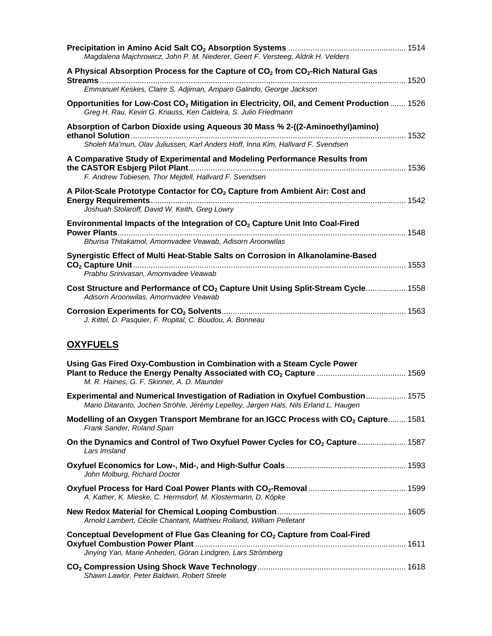| Magdalena Majchrowicz, John P. M. Niederer, Geert F. Versteeg, Aldrik H. Velders                                                                                              |  |
|-------------------------------------------------------------------------------------------------------------------------------------------------------------------------------|--|
| A Physical Absorption Process for the Capture of CO <sub>2</sub> from CO <sub>2</sub> -Rich Natural Gas<br>Emmanuel Keskes, Claire S. Adjiman, Amparo Galindo, George Jackson |  |
| Opportunities for Low-Cost CO <sub>2</sub> Mitigation in Electricity, Oil, and Cement Production  1526<br>Greg H. Rau, Kevin G. Knauss, Ken Caldeira, S. Julio Friedmann      |  |
| Absorption of Carbon Dioxide using Aqueous 30 Mass % 2-((2-Aminoethyl)amino)<br>Sholeh Ma'mun, Olav Juliussen, Karl Anders Hoff, Inna Kim, Hallvard F. Svendsen               |  |
| A Comparative Study of Experimental and Modeling Performance Results from<br>F. Andrew Tobiesen, Thor Mejdell, Hallvard F. Svendsen                                           |  |
| A Pilot-Scale Prototype Contactor for CO <sub>2</sub> Capture from Ambient Air: Cost and<br>Joshuah Stolaroff, David W. Keith, Greg Lowry                                     |  |
| Environmental Impacts of the Integration of CO <sub>2</sub> Capture Unit Into Coal-Fired<br>Bhurisa Thitakamol, Amornvadee Veawab, Adisorn Aroonwilas                         |  |
| Synergistic Effect of Multi Heat-Stable Salts on Corrosion in Alkanolamine-Based<br>Prabhu Srinivasan, Amornvadee Veawab                                                      |  |
| Cost Structure and Performance of CO <sub>2</sub> Capture Unit Using Split-Stream Cycle 1558<br>Adisorn Aroonwilas, Amornvadee Veawab                                         |  |
| J. Kittel, D. Pasquier, F. Ropital, C. Boudou, A. Bonneau                                                                                                                     |  |

# **OXYFUELS**

| Using Gas Fired Oxy-Combustion in Combination with a Steam Cycle Power<br>M. R. Haines, G. F. Skinner, A. D. Maunder                                                     |
|--------------------------------------------------------------------------------------------------------------------------------------------------------------------------|
| Experimental and Numerical Investigation of Radiation in Oxyfuel Combustion 1575<br>Mario Ditaranto, Jochen Ströhle, Jérémy Lepelley, Jørgen Hals, Nils Erland L. Haugen |
| Modelling of an Oxygen Transport Membrane for an IGCC Process with CO <sub>2</sub> Capture 1581<br>Frank Sander, Roland Span                                             |
| On the Dynamics and Control of Two Oxyfuel Power Cycles for CO <sub>2</sub> Capture 1587<br>Lars Imsland                                                                 |
| John Molburg, Richard Doctor                                                                                                                                             |
| A. Kather, K. Mieske, C. Hermsdorf, M. Klostermann, D. Köpke                                                                                                             |
| Arnold Lambert, Cécile Chantant, Matthieu Rolland, William Pelletant                                                                                                     |
| Conceptual Development of Flue Gas Cleaning for CO <sub>2</sub> Capture from Coal-Fired<br>Jinying Yan, Marie Anheden, Göran Lindgren, Lars Strömberg                    |
| Shawn Lawlor, Peter Baldwin, Robert Steele                                                                                                                               |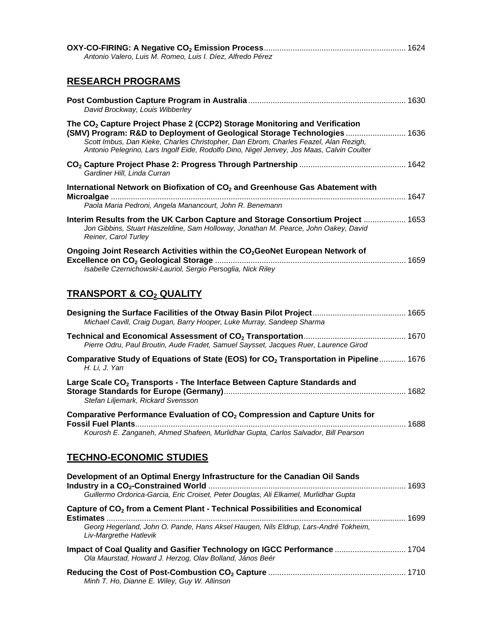| Antonio Valero, Luis M. Romeo, Luis I. Díez, Alfredo Pérez                                                                                                                                                                                                                                                                                               |  |
|----------------------------------------------------------------------------------------------------------------------------------------------------------------------------------------------------------------------------------------------------------------------------------------------------------------------------------------------------------|--|
| <b>RESEARCH PROGRAMS</b>                                                                                                                                                                                                                                                                                                                                 |  |
| David Brockway, Louis Wibberley                                                                                                                                                                                                                                                                                                                          |  |
| The CO <sub>2</sub> Capture Project Phase 2 (CCP2) Storage Monitoring and Verification<br>(SMV) Program: R&D to Deployment of Geological Storage Technologies  1636<br>Scott Imbus, Dan Kieke, Charles Christopher, Dan Ebrom, Charles Feazel, Alan Rezigh,<br>Antonio Pelegrino, Lars Ingolf Eide, Rodolfo Dino, Nigel Jenvey, Jos Maas, Calvin Coulter |  |
| Gardiner Hill, Linda Curran                                                                                                                                                                                                                                                                                                                              |  |
| International Network on Biofixation of CO <sub>2</sub> and Greenhouse Gas Abatement with                                                                                                                                                                                                                                                                |  |
| Paola Maria Pedroni, Angela Manancourt, John R. Benemann                                                                                                                                                                                                                                                                                                 |  |
| Interim Results from the UK Carbon Capture and Storage Consortium Project  1653<br>Jon Gibbins, Stuart Haszeldine, Sam Holloway, Jonathan M. Pearce, John Oakey, David<br>Reiner, Carol Turley                                                                                                                                                           |  |
| Ongoing Joint Research Activities within the CO <sub>2</sub> GeoNet European Network of<br>Isabelle Czernichowski-Lauriol, Sergio Persoglia, Nick Riley                                                                                                                                                                                                  |  |
| <u>TRANSPORT &amp; CO2 QUALITY</u>                                                                                                                                                                                                                                                                                                                       |  |
| Michael Cavill, Craig Dugan, Barry Hooper, Luke Murray, Sandeep Sharma                                                                                                                                                                                                                                                                                   |  |
| Pierre Odru, Paul Broutin, Aude Fradet, Samuel Saysset, Jacques Ruer, Laurence Girod                                                                                                                                                                                                                                                                     |  |
| Comparative Study of Equations of State (EOS) for CO <sub>2</sub> Transportation in Pipeline 1676<br>H. Li, J. Yan                                                                                                                                                                                                                                       |  |
| Large Scale CO <sub>2</sub> Transports - The Interface Between Capture Standards and<br>Stefan Liljemark, Rickard Svensson ett av den sterke formalen av den sterke formalen av den sterke formalen av                                                                                                                                                   |  |
| Comparative Performance Evaluation of CO <sub>2</sub> Compression and Capture Units for<br><b>Fossil Fuel Plants.</b><br>……………. 1688                                                                                                                                                                                                                     |  |
| Kourosh E. Zanganeh, Ahmed Shafeen, Murlidhar Gupta, Carlos Salvador, Bill Pearson                                                                                                                                                                                                                                                                       |  |
| <b>TECHNO-ECONOMIC STUDIES</b>                                                                                                                                                                                                                                                                                                                           |  |

| Development of an Optimal Energy Infrastructure for the Canadian Oil Sands                                                           |  |
|--------------------------------------------------------------------------------------------------------------------------------------|--|
| Guillermo Ordorica-Garcia, Eric Croiset, Peter Douglas, Ali Elkamel, Murlidhar Gupta                                                 |  |
| Capture of CO <sub>2</sub> from a Cement Plant - Technical Possibilities and Economical<br><b>Estimates</b>                          |  |
| Georg Hegerland, John O. Pande, Hans Aksel Haugen, Nils Eldrup, Lars-André Tokheim,<br>Liv-Margrethe Hatlevik                        |  |
| Impact of Coal Quality and Gasifier Technology on IGCC Performance  1704<br>Ola Maurstad, Howard J. Herzog, Olav Bolland, János Beér |  |
| Minh T. Ho, Dianne E. Wiley, Guy W. Allinson                                                                                         |  |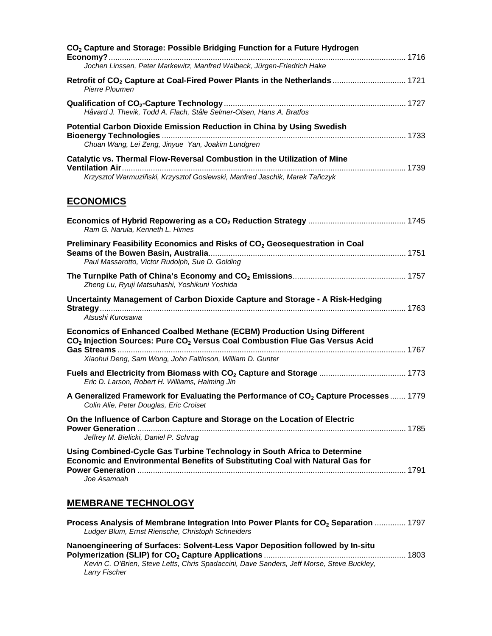| CO <sub>2</sub> Capture and Storage: Possible Bridging Function for a Future Hydrogen<br>Jochen Linssen, Peter Markewitz, Manfred Walbeck, Jürgen-Friedrich Hake                                                                                   |  |
|----------------------------------------------------------------------------------------------------------------------------------------------------------------------------------------------------------------------------------------------------|--|
| Retrofit of CO <sub>2</sub> Capture at Coal-Fired Power Plants in the Netherlands  1721<br>Pierre Ploumen                                                                                                                                          |  |
| Håvard J. Thevik, Todd A. Flach, Ståle Selmer-Olsen, Hans A. Bratfos                                                                                                                                                                               |  |
| Potential Carbon Dioxide Emission Reduction in China by Using Swedish<br>Chuan Wang, Lei Zeng, Jinyue Yan, Joakim Lundgren                                                                                                                         |  |
| Catalytic vs. Thermal Flow-Reversal Combustion in the Utilization of Mine<br>Krzysztof Warmuziñski, Krzysztof Gosiewski, Manfred Jaschik, Marek Tañczyk                                                                                            |  |
| <b>ECONOMICS</b>                                                                                                                                                                                                                                   |  |
| Ram G. Narula, Kenneth L. Himes                                                                                                                                                                                                                    |  |
| Preliminary Feasibility Economics and Risks of CO <sub>2</sub> Geosequestration in Coal<br>Paul Massarotto, Victor Rudolph, Sue D. Golding                                                                                                         |  |
| Zheng Lu, Ryuji Matsuhashi, Yoshikuni Yoshida                                                                                                                                                                                                      |  |
| Uncertainty Management of Carbon Dioxide Capture and Storage - A Risk-Hedging<br>Atsushi Kurosawa                                                                                                                                                  |  |
| <b>Economics of Enhanced Coalbed Methane (ECBM) Production Using Different</b><br>CO <sub>2</sub> Injection Sources: Pure CO <sub>2</sub> Versus Coal Combustion Flue Gas Versus Acid<br>Xiaohui Deng, Sam Wong, John Faltinson, William D. Gunter |  |
| Eric D. Larson, Robert H. Williams, Haiming Jin                                                                                                                                                                                                    |  |
| A Generalized Framework for Evaluating the Performance of CO <sub>2</sub> Capture Processes  1779<br>Colin Alie, Peter Douglas, Eric Croiset                                                                                                       |  |
| On the Influence of Carbon Capture and Storage on the Location of Electric<br>Jeffrey M. Bielicki, Daniel P. Schrag                                                                                                                                |  |
| Using Combined-Cycle Gas Turbine Technology in South Africa to Determine<br>Economic and Environmental Benefits of Substituting Coal with Natural Gas for<br>Joe Asamoah                                                                           |  |
| <b>MEMBRANE TECHNOLOGY</b>                                                                                                                                                                                                                         |  |

| Process Analysis of Membrane Integration Into Power Plants for CO <sub>2</sub> Separation  1797 |  |
|-------------------------------------------------------------------------------------------------|--|
| Ludger Blum, Ernst Riensche, Christoph Schneiders                                               |  |
| Nanoengineering of Surfaces: Solvent-Less Vapor Deposition followed by In-situ                  |  |

**Polymerization (SLIP) for CO2 Capture Applications** ................................................................ 1803 *Kevin C. O'Brien, Steve Letts, Chris Spadaccini, Dave Sanders, Jeff Morse, Steve Buckley, Larry Fischer*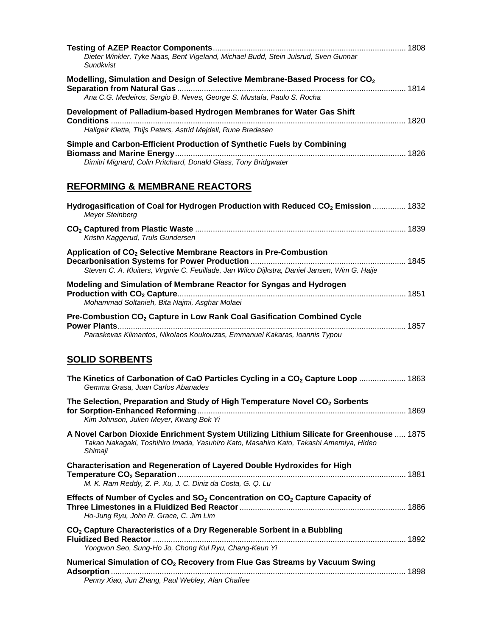| Dieter Winkler, Tyke Naas, Bent Vigeland, Michael Budd, Stein Julsrud, Sven Gunnar<br>Sundkvist                                                                                              |  |
|----------------------------------------------------------------------------------------------------------------------------------------------------------------------------------------------|--|
| Modelling, Simulation and Design of Selective Membrane-Based Process for CO <sub>2</sub><br>Ana C.G. Medeiros, Sergio B. Neves, George S. Mustafa, Paulo S. Rocha                            |  |
| Development of Palladium-based Hydrogen Membranes for Water Gas Shift<br>Hallgeir Klette, Thijs Peters, Astrid Mejdell, Rune Bredesen                                                        |  |
| Simple and Carbon-Efficient Production of Synthetic Fuels by Combining<br>Dimitri Mignard, Colin Pritchard, Donald Glass, Tony Bridgwater                                                    |  |
| <b>REFORMING &amp; MEMBRANE REACTORS</b>                                                                                                                                                     |  |
| Hydrogasification of Coal for Hydrogen Production with Reduced CO <sub>2</sub> Emission  1832<br><b>Meyer Steinberg</b>                                                                      |  |
| Kristin Kaggerud, Truls Gundersen                                                                                                                                                            |  |
| Application of CO <sub>2</sub> Selective Membrane Reactors in Pre-Combustion<br>Steven C. A. Kluiters, Virginie C. Feuillade, Jan Wilco Dijkstra, Daniel Jansen, Wim G. Haije                |  |
| Modeling and Simulation of Membrane Reactor for Syngas and Hydrogen<br>Mohammad Soltanieh, Bita Najmi, Asghar Molaei                                                                         |  |
| Pre-Combustion CO <sub>2</sub> Capture in Low Rank Coal Gasification Combined Cycle<br>Paraskevas Klimantos, Nikolaos Koukouzas, Emmanuel Kakaras, Ioannis Typou<br><b>SOLID SORBENTS</b>    |  |
| The Kinetics of Carbonation of CaO Particles Cycling in a CO <sub>2</sub> Capture Loop  1863<br>Gemma Grasa, Juan Carlos Abanades                                                            |  |
| The Selection, Preparation and Study of High Temperature Novel CO <sub>2</sub> Sorbents<br>Kim Johnson, Julien Meyer, Kwang Bok Yi                                                           |  |
| A Novel Carbon Dioxide Enrichment System Utilizing Lithium Silicate for Greenhouse  1875<br>Takao Nakagaki, Toshihiro Imada, Yasuhiro Kato, Masahiro Kato, Takashi Amemiya, Hideo<br>Shimaji |  |
| <b>Characterisation and Regeneration of Layered Double Hydroxides for High</b><br>M. K. Ram Reddy, Z. P. Xu, J. C. Diniz da Costa, G. Q. Lu                                                  |  |
| Effects of Number of Cycles and SO <sub>2</sub> Concentration on CO <sub>2</sub> Capture Capacity of<br>Ho-Jung Ryu, John R. Grace, C. Jim Lim                                               |  |
| CO <sub>2</sub> Capture Characteristics of a Dry Regenerable Sorbent in a Bubbling<br>Yongwon Seo, Sung-Ho Jo, Chong Kul Ryu, Chang-Keun Yi                                                  |  |
| Numerical Simulation of CO <sub>2</sub> Recovery from Flue Gas Streams by Vacuum Swing<br>Penny Xiao, Jun Zhang, Paul Webley, Alan Chaffee                                                   |  |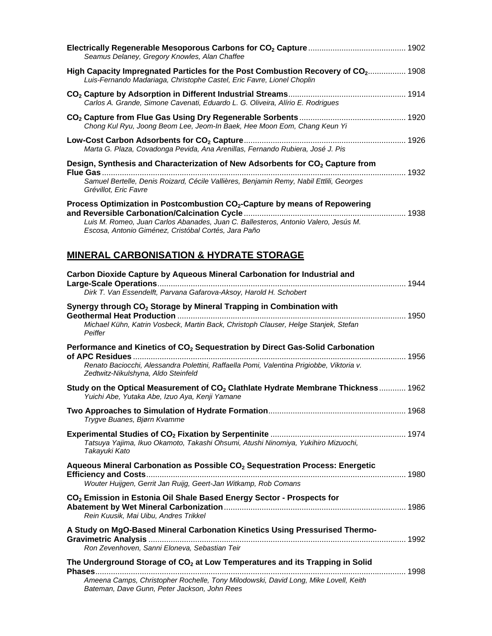| Seamus Delaney, Gregory Knowles, Alan Chaffee                                                                                                                                                                                            |  |
|------------------------------------------------------------------------------------------------------------------------------------------------------------------------------------------------------------------------------------------|--|
| High Capacity Impregnated Particles for the Post Combustion Recovery of CO2 1908<br>Luis-Fernando Madariaga, Christophe Castel, Eric Favre, Lionel Choplin                                                                               |  |
| Carlos A. Grande, Simone Cavenati, Eduardo L. G. Oliveira, Alírio E. Rodrigues                                                                                                                                                           |  |
| Chong Kul Ryu, Joong Beom Lee, Jeom-In Baek, Hee Moon Eom, Chang Keun Yi                                                                                                                                                                 |  |
| Marta G. Plaza, Covadonga Pevida, Ana Arenillas, Fernando Rubiera, José J. Pis                                                                                                                                                           |  |
| Design, Synthesis and Characterization of New Adsorbents for CO <sub>2</sub> Capture from<br><b>Flue Gas</b><br>1932<br>Samuel Bertelle, Denis Roizard, Cécile Vallières, Benjamin Remy, Nabil Ettlili, Georges<br>Grévillot, Eric Favre |  |
| Process Optimization in Postcombustion CO <sub>2</sub> -Capture by means of Repowering<br>Luis M. Romeo, Juan Carlos Abanades, Juan C. Ballesteros, Antonio Valero, Jesús M.<br>Escosa, Antonio Giménez, Cristóbal Cortés, Jara Paño     |  |
| <b>MINERAL CARBONISATION &amp; HYDRATE STORAGE</b>                                                                                                                                                                                       |  |

| Carbon Dioxide Capture by Aqueous Mineral Carbonation for Industrial and                                                                                    |  |
|-------------------------------------------------------------------------------------------------------------------------------------------------------------|--|
| Dirk T. Van Essendelft, Parvana Gafarova-Aksoy, Harold H. Schobert                                                                                          |  |
| Synergy through CO <sub>2</sub> Storage by Mineral Trapping in Combination with                                                                             |  |
| Michael Kühn, Katrin Vosbeck, Martin Back, Christoph Clauser, Helge Stanjek, Stefan<br>Peiffer                                                              |  |
| Performance and Kinetics of CO <sub>2</sub> Sequestration by Direct Gas-Solid Carbonation                                                                   |  |
| Renato Baciocchi, Alessandra Polettini, Raffaella Pomi, Valentina Prigiobbe, Viktoria v.<br>Zedtwitz-Nikulshyna, Aldo Steinfeld                             |  |
| Study on the Optical Measurement of CO <sub>2</sub> Clathlate Hydrate Membrane Thickness  1962<br>Yuichi Abe, Yutaka Abe, Izuo Aya, Kenji Yamane            |  |
| Trygve Buanes, Bjørn Kvamme                                                                                                                                 |  |
| Tatsuya Yajima, Ikuo Okamoto, Takashi Ohsumi, Atushi Ninomiya, Yukihiro Mizuochi,<br>Takayuki Kato                                                          |  |
| Aqueous Mineral Carbonation as Possible CO <sub>2</sub> Sequestration Process: Energetic<br>Wouter Huijgen, Gerrit Jan Ruijg, Geert-Jan Witkamp, Rob Comans |  |
| CO <sub>2</sub> Emission in Estonia Oil Shale Based Energy Sector - Prospects for<br>Rein Kuusik, Mai Uibu, Andres Trikkel                                  |  |
| A Study on MgO-Based Mineral Carbonation Kinetics Using Pressurised Thermo-<br>Ron Zevenhoven, Sanni Eloneva, Sebastian Teir                                |  |
| The Underground Storage of CO <sub>2</sub> at Low Temperatures and its Trapping in Solid                                                                    |  |
| Ameena Camps, Christopher Rochelle, Tony Milodowski, David Long, Mike Lovell, Keith<br>Bateman, Dave Gunn, Peter Jackson, John Rees                         |  |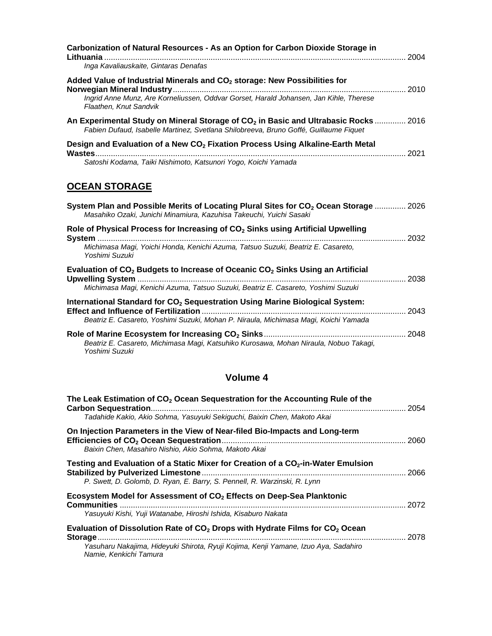| Carbonization of Natural Resources - As an Option for Carbon Dioxide Storage in<br>Inga Kavaliauskaite, Gintaras Denafas                                                                                  |  |
|-----------------------------------------------------------------------------------------------------------------------------------------------------------------------------------------------------------|--|
| Added Value of Industrial Minerals and CO <sub>2</sub> storage: New Possibilities for<br>Ingrid Anne Munz, Are Korneliussen, Oddvar Gorset, Harald Johansen, Jan Kihle, Therese<br>Flaathen, Knut Sandvik |  |
| An Experimental Study on Mineral Storage of CO <sub>2</sub> in Basic and Ultrabasic Rocks  2016<br>Fabien Dufaud, Isabelle Martinez, Svetlana Shilobreeva, Bruno Goffé, Guillaume Fiquet                  |  |
| Design and Evaluation of a New CO <sub>2</sub> Fixation Process Using Alkaline-Earth Metal                                                                                                                |  |
| Satoshi Kodama, Taiki Nishimoto, Katsunori Yogo, Koichi Yamada                                                                                                                                            |  |
| <b>OCEAN STORAGE</b><br>System Plan and Possible Merits of Locating Plural Sites for CO <sub>2</sub> Ocean Storage  2026<br>Masahiko Ozaki, Junichi Minamiura, Kazuhisa Takeuchi, Yuichi Sasaki           |  |
| Role of Physical Process for Increasing of CO <sub>2</sub> Sinks using Artificial Upwelling                                                                                                               |  |
| Michimasa Magi, Yoichi Honda, Kenichi Azuma, Tatsuo Suzuki, Beatriz E. Casareto,<br>Yoshimi Suzuki                                                                                                        |  |
| Evaluation of CO <sub>2</sub> Budgets to Increase of Oceanic CO <sub>2</sub> Sinks Using an Artificial                                                                                                    |  |
| Michimasa Magi, Kenichi Azuma, Tatsuo Suzuki, Beatriz E. Casareto, Yoshimi Suzuki                                                                                                                         |  |
| International Standard for CO <sub>2</sub> Sequestration Using Marine Biological System:<br>Beatriz E. Casareto, Yoshimi Suzuki, Mohan P. Niraula, Michimasa Magi, Koichi Yamada                          |  |
|                                                                                                                                                                                                           |  |
| Beatriz E. Casareto, Michimasa Magi, Katsuhiko Kurosawa, Mohan Niraula, Nobuo Takagi,<br>Yoshimi Suzuki                                                                                                   |  |

# **Volume 4**

| The Leak Estimation of CO <sub>2</sub> Ocean Sequestration for the Accounting Rule of the<br><b>Carbon Sequestration.</b><br>Tadahide Kakio, Akio Sohma, Yasuyuki Sekiguchi, Baixin Chen, Makoto Akai                             | 2054 |
|-----------------------------------------------------------------------------------------------------------------------------------------------------------------------------------------------------------------------------------|------|
| On Injection Parameters in the View of Near-filed Bio-Impacts and Long-term<br>Baixin Chen, Masahiro Nishio, Akio Sohma, Makoto Akai                                                                                              | 2060 |
| Testing and Evaluation of a Static Mixer for Creation of a CO <sub>2</sub> -in-Water Emulsion<br>P. Swett, D. Golomb, D. Ryan, E. Barry, S. Pennell, R. Warzinski, R. Lynn                                                        | 2066 |
| Ecosystem Model for Assessment of CO <sub>2</sub> Effects on Deep-Sea Planktonic<br><b>Communities</b><br>Yasuyuki Kishi, Yuji Watanabe, Hiroshi Ishida, Kisaburo Nakata                                                          | 2072 |
| Evaluation of Dissolution Rate of CO <sub>2</sub> Drops with Hydrate Films for CO <sub>2</sub> Ocean<br>Storage.<br>Yasuharu Nakajima, Hideyuki Shirota, Ryuji Kojima, Kenji Yamane, Izuo Aya, Sadahiro<br>Namie, Kenkichi Tamura | 2078 |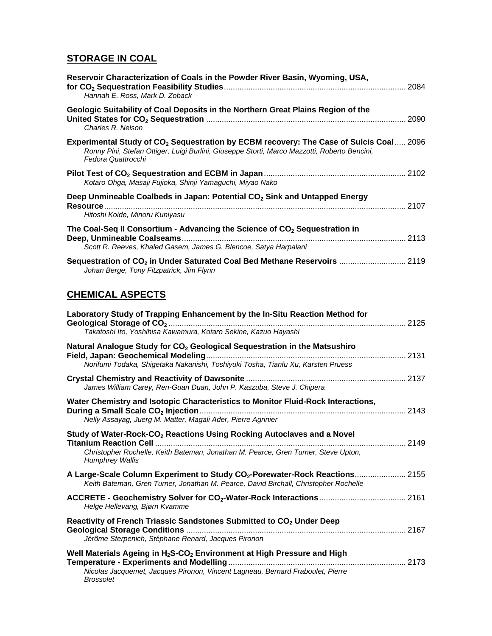# **STORAGE IN COAL**

| Reservoir Characterization of Coals in the Powder River Basin, Wyoming, USA,<br>Hannah E. Ross, Mark D. Zoback                                                                                                           |  |
|--------------------------------------------------------------------------------------------------------------------------------------------------------------------------------------------------------------------------|--|
| Geologic Suitability of Coal Deposits in the Northern Great Plains Region of the<br>Charles R. Nelson                                                                                                                    |  |
| Experimental Study of CO <sub>2</sub> Sequestration by ECBM recovery: The Case of Sulcis Coal 2096<br>Ronny Pini, Stefan Ottiger, Luigi Burlini, Giuseppe Storti, Marco Mazzotti, Roberto Bencini,<br>Fedora Quattrocchi |  |
| Kotaro Ohga, Masaji Fujioka, Shinji Yamaguchi, Miyao Nako                                                                                                                                                                |  |
| Deep Unmineable Coalbeds in Japan: Potential CO <sub>2</sub> Sink and Untapped Energy<br>Hitoshi Koide, Minoru Kuniyasu                                                                                                  |  |
| The Coal-Seq II Consortium - Advancing the Science of CO <sub>2</sub> Sequestration in<br>Scott R. Reeves, Khaled Gasem, James G. Blencoe, Satya Harpalani                                                               |  |
| Sequestration of CO <sub>2</sub> in Under Saturated Coal Bed Methane Reservoirs  2119<br>Johan Berge, Tony Fitzpatrick, Jim Flynn                                                                                        |  |
| <b>CHEMICAL ASPECTS</b>                                                                                                                                                                                                  |  |
| Laboratory Study of Trapping Enhancement by the In-Situ Reaction Method for<br>Takatoshi Ito, Yoshihisa Kawamura, Kotaro Sekine, Kazuo Hayashi                                                                           |  |
| Natural Analogue Study for CO <sub>2</sub> Geological Sequestration in the Matsushiro<br>Norifumi Todaka, Shigetaka Nakanishi, Toshiyuki Tosha, Tianfu Xu, Karsten Pruess                                                |  |
| James William Carey, Ren-Guan Duan, John P. Kaszuba, Steve J. Chipera                                                                                                                                                    |  |
| Water Chemistry and Isotopic Characteristics to Monitor Fluid-Rock Interactions,<br>Nelly Assayag, Juerg M. Matter, Magali Ader, Pierre Agrinier                                                                         |  |
| Study of Water-Rock-CO <sub>2</sub> Reactions Using Rocking Autoclaves and a Novel<br>Christopher Rochelle, Keith Bateman, Jonathan M. Pearce, Gren Turner, Steve Upton,<br><b>Humphrey Wallis</b>                       |  |
| A Large-Scale Column Experiment to Study CO <sub>2</sub> -Porewater-Rock Reactions 2155<br>Keith Bateman, Gren Turner, Jonathan M. Pearce, David Birchall, Christopher Rochelle                                          |  |
| Helge Hellevang, Bjørn Kvamme                                                                                                                                                                                            |  |
| Reactivity of French Triassic Sandstones Submitted to CO <sub>2</sub> Under Deep<br>Jérôme Sterpenich, Stéphane Renard, Jacques Pironon                                                                                  |  |
| Well Materials Ageing in H <sub>2</sub> S-CO <sub>2</sub> Environment at High Pressure and High                                                                                                                          |  |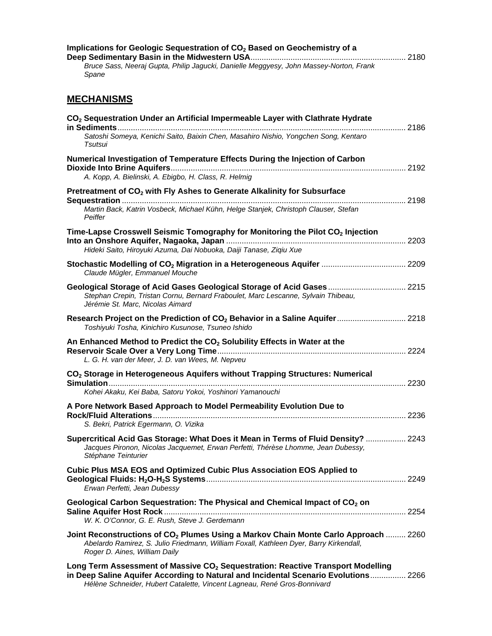| Implications for Geologic Sequestration of CO <sub>2</sub> Based on Geochemistry of a<br>Bruce Sass, Neeraj Gupta, Philip Jagucki, Danielle Meggyesy, John Massey-Norton, Frank<br>Spane                                                                       |  |
|----------------------------------------------------------------------------------------------------------------------------------------------------------------------------------------------------------------------------------------------------------------|--|
| <b>MECHANISMS</b>                                                                                                                                                                                                                                              |  |
| CO <sub>2</sub> Sequestration Under an Artificial Impermeable Layer with Clathrate Hydrate<br>Satoshi Someya, Kenichi Saito, Baixin Chen, Masahiro Nishio, Yongchen Song, Kentaro<br>Tsutsui                                                                   |  |
| Numerical Investigation of Temperature Effects During the Injection of Carbon<br>A. Kopp, A. Bielinski, A. Ebigbo, H. Class, R. Helmig                                                                                                                         |  |
| Pretreatment of CO <sub>2</sub> with Fly Ashes to Generate Alkalinity for Subsurface<br>2198                                                                                                                                                                   |  |
| Martin Back, Katrin Vosbeck, Michael Kühn, Helge Stanjek, Christoph Clauser, Stefan<br>Peiffer                                                                                                                                                                 |  |
| Time-Lapse Crosswell Seismic Tomography for Monitoring the Pilot CO <sub>2</sub> Injection                                                                                                                                                                     |  |
| Hideki Saito, Hiroyuki Azuma, Dai Nobuoka, Daiji Tanase, Ziqiu Xue                                                                                                                                                                                             |  |
| Stochastic Modelling of CO <sub>2</sub> Migration in a Heterogeneous Aquifer  2209<br>Claude Mügler, Emmanuel Mouche                                                                                                                                           |  |
| Geological Storage of Acid Gases Geological Storage of Acid Gases 2215<br>Stephan Crepin, Tristan Cornu, Bernard Fraboulet, Marc Lescanne, Sylvain Thibeau,<br>Jérémie St. Marc, Nicolas Aimard                                                                |  |
| Research Project on the Prediction of CO <sub>2</sub> Behavior in a Saline Aquifer 2218<br>Toshiyuki Tosha, Kinichiro Kusunose, Tsuneo Ishido                                                                                                                  |  |
| An Enhanced Method to Predict the CO <sub>2</sub> Solubility Effects in Water at the<br>L. G. H. van der Meer, J. D. van Wees, M. Nepveu                                                                                                                       |  |
| CO <sub>2</sub> Storage in Heterogeneous Aquifers without Trapping Structures: Numerical                                                                                                                                                                       |  |
| Simulation<br>Kohei Akaku, Kei Baba, Satoru Yokoi, Yoshinori Yamanouchi                                                                                                                                                                                        |  |
| A Pore Network Based Approach to Model Permeability Evolution Due to<br>S. Bekri, Patrick Egermann, O. Vizika                                                                                                                                                  |  |
| Supercritical Acid Gas Storage: What Does it Mean in Terms of Fluid Density?  2243<br>Jacques Pironon, Nicolas Jacquemet, Erwan Perfetti, Thérèse Lhomme, Jean Dubessy,<br>Stéphane Teinturier                                                                 |  |
| <b>Cubic Plus MSA EOS and Optimized Cubic Plus Association EOS Applied to</b><br>Erwan Perfetti, Jean Dubessy                                                                                                                                                  |  |
| Geological Carbon Sequestration: The Physical and Chemical Impact of CO <sub>2</sub> on<br>W. K. O'Connor, G. E. Rush, Steve J. Gerdemann                                                                                                                      |  |
| Joint Reconstructions of CO <sub>2</sub> Plumes Using a Markov Chain Monte Carlo Approach  2260<br>Abelardo Ramirez, S. Julio Friedmann, William Foxall, Kathleen Dyer, Barry Kirkendall,<br>Roger D. Aines, William Daily                                     |  |
| Long Term Assessment of Massive CO <sub>2</sub> Sequestration: Reactive Transport Modelling<br>in Deep Saline Aquifer According to Natural and Incidental Scenario Evolutions 2266<br>Hélène Schneider, Hubert Catalette, Vincent Lagneau, René Gros-Bonnivard |  |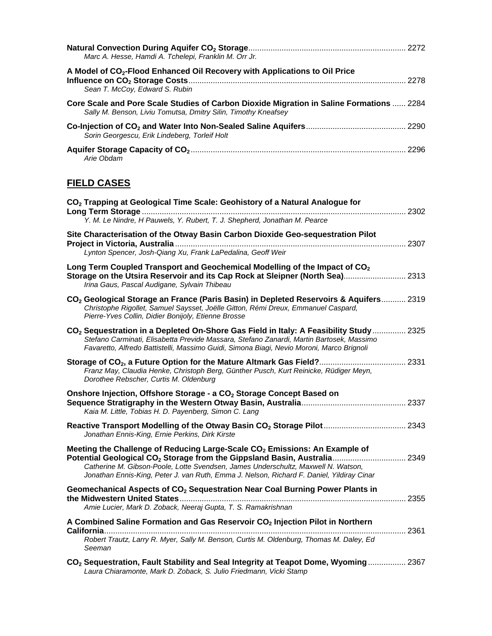| Marc A. Hesse, Hamdi A. Tchelepi, Franklin M. Orr Jr.                                                                                                      |      |
|------------------------------------------------------------------------------------------------------------------------------------------------------------|------|
| A Model of CO <sub>2</sub> -Flood Enhanced Oil Recovery with Applications to Oil Price<br>Sean T. McCoy, Edward S. Rubin                                   | 2278 |
| Core Scale and Pore Scale Studies of Carbon Dioxide Migration in Saline Formations  2284<br>Sally M. Benson, Liviu Tomutsa, Dmitry Silin, Timothy Kneafsey |      |
| Sorin Georgescu, Erik Lindeberg, Torleif Holt                                                                                                              |      |
| Arie Obdam                                                                                                                                                 |      |

# **FIELD CASES**

| CO <sub>2</sub> Trapping at Geological Time Scale: Geohistory of a Natural Analogue for<br>Y. M. Le Nindre, H Pauwels, Y. Rubert, T. J. Shepherd, Jonathan M. Pearce                                                                                                                        |  |
|---------------------------------------------------------------------------------------------------------------------------------------------------------------------------------------------------------------------------------------------------------------------------------------------|--|
| Site Characterisation of the Otway Basin Carbon Dioxide Geo-sequestration Pilot<br>Lynton Spencer, Josh-Qiang Xu, Frank LaPedalina, Geoff Weir                                                                                                                                              |  |
| Long Term Coupled Transport and Geochemical Modelling of the Impact of CO <sub>2</sub><br>Storage on the Utsira Reservoir and its Cap Rock at Sleipner (North Sea) 2313<br>Irina Gaus, Pascal Audigane, Sylvain Thibeau                                                                     |  |
| CO <sub>2</sub> Geological Storage an France (Paris Basin) in Depleted Reservoirs & Aquifers 2319<br>Christophe Rigollet, Samuel Saysset, Joëlle Gitton, Rémi Dreux, Emmanuel Caspard,<br>Pierre-Yves Collin, Didier Bonijoly, Etienne Brosse                                               |  |
| CO <sub>2</sub> Sequestration in a Depleted On-Shore Gas Field in Italy: A Feasibility Study  2325<br>Stefano Carminati, Elisabetta Previde Massara, Stefano Zanardi, Martin Bartosek, Massimo<br>Favaretto, Alfredo Battistelli, Massimo Guidi, Simona Biagi, Nevio Moroni, Marco Brignoli |  |
| Franz May, Claudia Henke, Christoph Berg, Günther Pusch, Kurt Reinicke, Rüdiger Meyn,<br>Dorothee Rebscher, Curtis M. Oldenburg                                                                                                                                                             |  |
| Onshore Injection, Offshore Storage - a CO <sub>2</sub> Storage Concept Based on<br>Kaia M. Little, Tobias H. D. Payenberg, Simon C. Lang                                                                                                                                                   |  |
| Jonathan Ennis-King, Ernie Perkins, Dirk Kirste                                                                                                                                                                                                                                             |  |
| Meeting the Challenge of Reducing Large-Scale CO <sub>2</sub> Emissions: An Example of<br>Catherine M. Gibson-Poole, Lotte Svendsen, James Underschultz, Maxwell N. Watson,<br>Jonathan Ennis-King, Peter J. van Ruth, Emma J. Nelson, Richard F. Daniel, Yildiray Cinar                    |  |
| Geomechanical Aspects of CO <sub>2</sub> Sequestration Near Coal Burning Power Plants in<br>Amie Lucier, Mark D. Zoback, Neeraj Gupta, T. S. Ramakrishnan                                                                                                                                   |  |
| A Combined Saline Formation and Gas Reservoir CO <sub>2</sub> Injection Pilot in Northern                                                                                                                                                                                                   |  |
| Robert Trautz, Larry R. Myer, Sally M. Benson, Curtis M. Oldenburg, Thomas M. Daley, Ed<br>Seeman                                                                                                                                                                                           |  |
| CO <sub>2</sub> Sequestration, Fault Stability and Seal Integrity at Teapot Dome, Wyoming  2367<br>Laura Chiaramonte, Mark D. Zoback, S. Julio Friedmann, Vicki Stamp                                                                                                                       |  |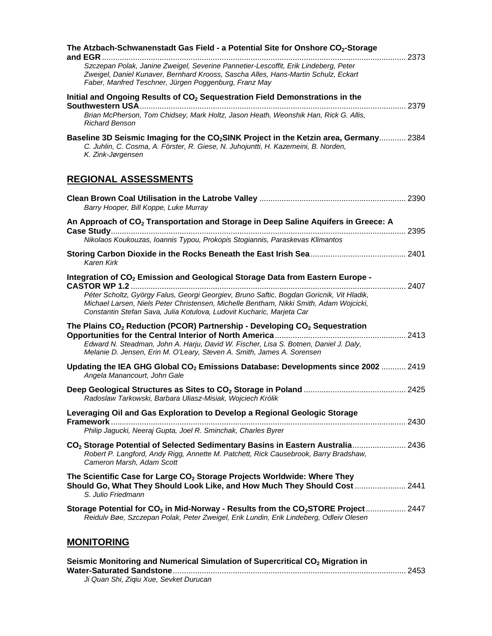| The Atzbach-Schwanenstadt Gas Field - a Potential Site for Onshore CO <sub>2</sub> -Storage<br>and $EGR$                                                                                                                                                    |
|-------------------------------------------------------------------------------------------------------------------------------------------------------------------------------------------------------------------------------------------------------------|
| Szczepan Polak, Janine Zweigel, Severine Pannetier-Lescoffit, Erik Lindeberg, Peter<br>Zweigel, Daniel Kunaver, Bernhard Krooss, Sascha Alles, Hans-Martin Schulz, Eckart<br>Faber, Manfred Teschner, Jürgen Poggenburg, Franz May                          |
| Initial and Ongoing Results of CO <sub>2</sub> Sequestration Field Demonstrations in the                                                                                                                                                                    |
| Brian McPherson, Tom Chidsey, Mark Holtz, Jason Heath, Weonshik Han, Rick G. Allis,<br><b>Richard Benson</b>                                                                                                                                                |
| Baseline 3D Seismic Imaging for the CO <sub>2</sub> SINK Project in the Ketzin area, Germany 2384<br>C. Juhlin, C. Cosma, A. Förster, R. Giese, N. Juhojuntti, H. Kazemeini, B. Norden,<br>K. Zink-Jørgensen                                                |
| <b>REGIONAL ASSESSMENTS</b>                                                                                                                                                                                                                                 |
| Barry Hooper, Bill Koppe, Luke Murray                                                                                                                                                                                                                       |
| An Approach of CO <sub>2</sub> Transportation and Storage in Deep Saline Aquifers in Greece: A                                                                                                                                                              |
| Nikolaos Koukouzas, Ioannis Typou, Prokopis Stogiannis, Paraskevas Klimantos                                                                                                                                                                                |
| <b>Karen Kirk</b>                                                                                                                                                                                                                                           |
| Integration of CO <sub>2</sub> Emission and Geological Storage Data from Eastern Europe -                                                                                                                                                                   |
| Péter Scholtz, György Falus, Georgi Georgiev, Bruno Saftic, Bogdan Goricnik, Vit Hladik,<br>Michael Larsen, Niels Peter Christensen, Michelle Bentham, Nikki Smith, Adam Wojcicki,<br>Constantin Stefan Sava, Julia Kotulova, Ludovit Kucharic, Marjeta Car |
| The Plains $CO2$ Reduction (PCOR) Partnership - Developing $CO2$ Sequestration                                                                                                                                                                              |
| Edward N. Steadman, John A. Harju, David W. Fischer, Lisa S. Botnen, Daniel J. Daly,<br>Melanie D. Jensen, Erin M. O'Leary, Steven A. Smith, James A. Sorensen                                                                                              |
| Updating the IEA GHG Global CO <sub>2</sub> Emissions Database: Developments since 2002  2419<br>Angela Manancourt, John Gale                                                                                                                               |
| Radoslaw Tarkowski, Barbara Uliasz-Misiak, Wojciech Królik                                                                                                                                                                                                  |
| Leveraging Oil and Gas Exploration to Develop a Regional Geologic Storage                                                                                                                                                                                   |
| Philip Jagucki, Neeraj Gupta, Joel R. Sminchak, Charles Byrer                                                                                                                                                                                               |
| CO <sub>2</sub> Storage Potential of Selected Sedimentary Basins in Eastern Australia 2436<br>Robert P. Langford, Andy Rigg, Annette M. Patchett, Rick Causebrook, Barry Bradshaw,<br>Cameron Marsh, Adam Scott                                             |
| The Scientific Case for Large $CO2$ Storage Projects Worldwide: Where They<br>Should Go, What They Should Look Like, and How Much They Should Cost  2441<br>S. Julio Friedmann                                                                              |
| Storage Potential for CO <sub>2</sub> in Mid-Norway - Results from the CO <sub>2</sub> STORE Project 2447<br>Reidulv Bøe, Szczepan Polak, Peter Zweigel, Erik Lundin, Erik Lindeberg, Odleiv Olesen                                                         |
| <b>MONITORING</b>                                                                                                                                                                                                                                           |

| Seismic Monitoring and Numerical Simulation of Supercritical CO <sub>2</sub> Migration in |  |
|-------------------------------------------------------------------------------------------|--|
|                                                                                           |  |
| Ji Quan Shi, Zigiu Xue, Sevket Durucan                                                    |  |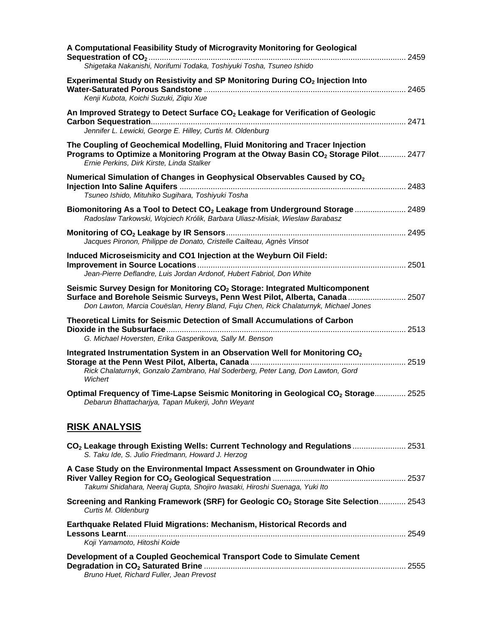| A Computational Feasibility Study of Microgravity Monitoring for Geological<br>Shigetaka Nakanishi, Norifumi Todaka, Toshiyuki Tosha, Tsuneo Ishido                                                                                                             |  |
|-----------------------------------------------------------------------------------------------------------------------------------------------------------------------------------------------------------------------------------------------------------------|--|
| Experimental Study on Resistivity and SP Monitoring During CO <sub>2</sub> Injection Into<br>Kenji Kubota, Koichi Suzuki, Ziqiu Xue                                                                                                                             |  |
| An Improved Strategy to Detect Surface CO <sub>2</sub> Leakage for Verification of Geologic<br>Jennifer L. Lewicki, George E. Hilley, Curtis M. Oldenburg                                                                                                       |  |
| The Coupling of Geochemical Modelling, Fluid Monitoring and Tracer Injection<br>Programs to Optimize a Monitoring Program at the Otway Basin CO <sub>2</sub> Storage Pilot 2477<br>Ernie Perkins, Dirk Kirste, Linda Stalker                                    |  |
| Numerical Simulation of Changes in Geophysical Observables Caused by CO <sub>2</sub><br>Tsuneo Ishido, Mituhiko Sugihara, Toshiyuki Tosha                                                                                                                       |  |
| Biomonitoring As a Tool to Detect CO <sub>2</sub> Leakage from Underground Storage  2489<br>Radoslaw Tarkowski, Wojciech Królik, Barbara Uliasz-Misiak, Wieslaw Barabasz                                                                                        |  |
| Jacques Pironon, Philippe de Donato, Cristelle Cailteau, Agnès Vinsot                                                                                                                                                                                           |  |
| Induced Microseismicity and CO1 Injection at the Weyburn Oil Field:<br>Jean-Pierre Deflandre, Luis Jordan Ardonof, Hubert Fabriol, Don White                                                                                                                    |  |
| Seismic Survey Design for Monitoring CO <sub>2</sub> Storage: Integrated Multicomponent<br>Surface and Borehole Seismic Surveys, Penn West Pilot, Alberta, Canada  2507<br>Don Lawton, Marcia Couëslan, Henry Bland, Fuju Chen, Rick Chalaturnyk, Michael Jones |  |
| <b>Theoretical Limits for Seismic Detection of Small Accumulations of Carbon</b><br>G. Michael Hoversten, Erika Gasperikova, Sally M. Benson                                                                                                                    |  |
| Integrated Instrumentation System in an Observation Well for Monitoring CO <sub>2</sub><br>Rick Chalaturnyk, Gonzalo Zambrano, Hal Soderberg, Peter Lang, Don Lawton, Gord<br>Wichert                                                                           |  |
| Optimal Frequency of Time-Lapse Seismic Monitoring in Geological CO <sub>2</sub> Storage 2525<br>Debarun Bhattacharjya, Tapan Mukerji, John Weyant                                                                                                              |  |
| <b>RISK ANALYSIS</b>                                                                                                                                                                                                                                            |  |
| CO <sub>2</sub> Leakage through Existing Wells: Current Technology and Regulations  2531<br>S. Taku Ide, S. Julio Friedmann, Howard J. Herzog                                                                                                                   |  |
| A Case Study on the Environmental Impact Assessment on Groundwater in Ohio<br>Takumi Shidahara, Neeraj Gupta, Shojiro Iwasaki, Hiroshi Suenaga, Yuki Ito                                                                                                        |  |
| Screening and Ranking Framework (SRF) for Geologic CO <sub>2</sub> Storage Site Selection 2543<br>Curtis M. Oldenburg                                                                                                                                           |  |
| Earthquake Related Fluid Migrations: Mechanism, Historical Records and<br>Koji Yamamoto, Hitoshi Koide                                                                                                                                                          |  |
| Development of a Coupled Geochemical Transport Code to Simulate Cement<br>Bruno Huet, Richard Fuller, Jean Prevost                                                                                                                                              |  |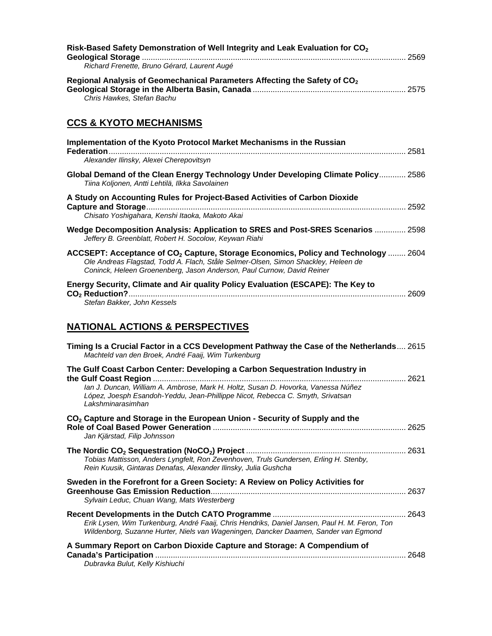| Risk-Based Safety Demonstration of Well Integrity and Leak Evaluation for CO <sub>2</sub> |  |
|-------------------------------------------------------------------------------------------|--|
| Richard Frenette, Bruno Gérard, Laurent Augé                                              |  |
| Regional Analysis of Geomechanical Parameters Affecting the Safety of CO <sub>2</sub>     |  |
| Chris Hawkes, Stefan Bachu                                                                |  |

# **CCS & KYOTO MECHANISMS**

| Implementation of the Kyoto Protocol Market Mechanisms in the Russian<br>Federation.<br>2581<br>Alexander Ilinsky, Alexei Cherepovitsyn                                                                                                                        |
|----------------------------------------------------------------------------------------------------------------------------------------------------------------------------------------------------------------------------------------------------------------|
| Global Demand of the Clean Energy Technology Under Developing Climate Policy 2586<br>Tiina Koljonen, Antti Lehtilä, Ilkka Savolainen                                                                                                                           |
| A Study on Accounting Rules for Project-Based Activities of Carbon Dioxide<br>2592<br>Chisato Yoshigahara, Kenshi Itaoka, Makoto Akai                                                                                                                          |
| Wedge Decomposition Analysis: Application to SRES and Post-SRES Scenarios  2598<br>Jeffery B. Greenblatt, Robert H. Socolow, Keywan Riahi                                                                                                                      |
| ACCSEPT: Acceptance of CO <sub>2</sub> Capture, Storage Economics, Policy and Technology  2604<br>Ole Andreas Flagstad, Todd A. Flach, Ståle Selmer-Olsen, Simon Shackley, Heleen de<br>Coninck, Heleen Groenenberg, Jason Anderson, Paul Curnow, David Reiner |
| Energy Security, Climate and Air quality Policy Evaluation (ESCAPE): The Key to<br>2609                                                                                                                                                                        |

## **NATIONAL ACTIONS & PERSPECTIVES**

*Stefan Bakker, John Kessels* 

| Timing Is a Crucial Factor in a CCS Development Pathway the Case of the Netherlands 2615<br>Machteld van den Broek, André Faaij, Wim Turkenburg                                                                                                                                                   |      |
|---------------------------------------------------------------------------------------------------------------------------------------------------------------------------------------------------------------------------------------------------------------------------------------------------|------|
| The Gulf Coast Carbon Center: Developing a Carbon Sequestration Industry in<br>the Gulf Coast Region<br>lan J. Duncan, William A. Ambrose, Mark H. Holtz, Susan D. Hovorka, Vanessa Núñez<br>López, Joesph Esandoh-Yeddu, Jean-Phillippe Nicot, Rebecca C. Smyth, Srivatsan<br>I akshminarasimhan | 2621 |
| CO <sub>2</sub> Capture and Storage in the European Union - Security of Supply and the<br>Jan Kjärstad, Filip Johnsson                                                                                                                                                                            | 2625 |
| Tobias Mattisson, Anders Lyngfelt, Ron Zevenhoven, Truls Gundersen, Erling H. Stenby,<br>Rein Kuusik, Gintaras Denafas, Alexander Ilinsky, Julia Gushcha                                                                                                                                          |      |
| Sweden in the Forefront for a Green Society: A Review on Policy Activities for<br>Sylvain Leduc, Chuan Wang, Mats Westerberg                                                                                                                                                                      | 2637 |
| Erik Lysen, Wim Turkenburg, André Faaij, Chris Hendriks, Daniel Jansen, Paul H. M. Feron, Ton<br>Wildenborg, Suzanne Hurter, Niels van Wageningen, Dancker Daamen, Sander van Egmond                                                                                                              | 2643 |
| A Summary Report on Carbon Dioxide Capture and Storage: A Compendium of<br>Dubravka Bulut, Kelly Kishiuchi                                                                                                                                                                                        | 2648 |